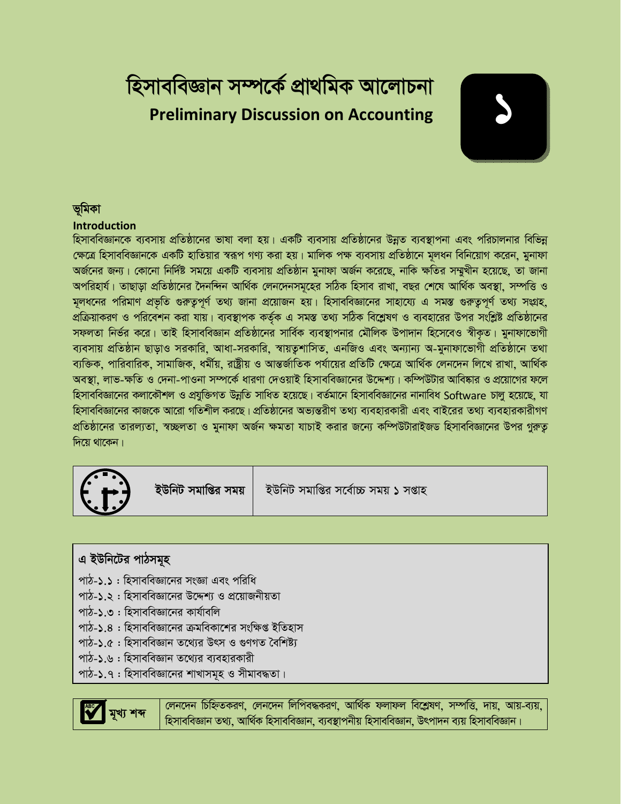## *হি*সাববিজ্ঞান সম্পৰ্কে প্ৰাথমিক আলোচনা **Preliminary Discussion on Accounting**

# *1*

#### **ভমিকা**

#### **Introduction**

হিসাববিজ্ঞানকে ব্যবসায় প্রতিষ্ঠানের ভাষা বলা হয়। একটি ব্যবসায় প্রতিষ্ঠানের উন্নত ব্যবস্থাপনা এবং পরিচালনার বিভিন্ন *†ÿ‡Î wnmveweÁvb‡K GKwU nvwZqvi ¯^iƒc MY¨ Kiv nq| gvwjK cÿ e¨emvq cÖwZôv‡b g~jab wewb‡qvM K‡ib, gybvdv অর্জ*নের জন্য। কোনো নির্দিষ্ট সময়ে একটি ব্যবসায় প্রতিষ্ঠান মুনাফা অর্জন করেছে, নাকি ক্ষতির সম্মুখীন হয়েছে, তা জানা অপরিহার্য। তাছাড়া প্রতিষ্ঠানের দৈনন্দিন আর্থিক লেনদেনসমূহের সঠিক হিসাব রাখা, বছর শেষে আর্থিক অবস্থা, সম্পত্তি ও *মূলধনের পরিমাণ প্রভৃতি গুরুতুপূর্ণ তথ্য জানা প্রয়োজন হয়। হিসাববিজ্ঞানের সাহায্যে এ সমস্ত গুরুতুপূর্ণ তথ্য সংগ্রহ,* প্রক্রিয়াকরণ ও পরিবেশন করা যায়। ব্যবস্থাপক কর্তৃক এ সমস্ত তথ্য সঠিক বিশ্লেষণ ও ব্যবহারের উপর সংশ্লিষ্ট প্রতিষ্ঠানের সফলতা নিৰ্ভর করে। তাই হিসাববিজ্ঞান প্রতিষ্ঠানের সার্বিক ব্যবস্থাপনার মৌলিক উপাদান হিসেবেও স্বীকৃত। মুনাফাভোগী *ব্যবসায় প্রতিষ্ঠান ছাড়াও সরকারি*, আধা-সরকারি, স্বায়তুশাসিত, এনজিও এবং অন্যান্য অ-মুনাফাভোগী প্রতিষ্ঠানে তথা *ব্য*ক্তিক, পারিবারিক, সামাজিক, ধর্মীয়, রাষ্ট্রীয় ও আন্তর্জাতিক পর্যায়ের প্রতিটি ক্ষেত্রে আর্থিক লেনদেন লিখে রাখা, আর্থিক <sup>'</sup>অবস্থা, লাভ-ক্ষতি ও দেনা-পাওনা সম্পর্কে ধারণা দেওয়াই হিসাববিজ্ঞানের উদ্দেশ্য। কম্পিউটার আবিষ্কার ও প্রয়োগের ফলে *হি*সাববিজ্ঞানের কলাকৌশল ও প্রযুক্তিগত উন্নতি সাধিত হয়েছে। বর্তমানে হিসাববিজ্ঞানের নানাবিধ Software চালু হয়েছে, যা হিসাববিজ্ঞানের কাজকে আরো গতিশীল করছে। প্রতিষ্ঠানের অভ্যন্তরীণ তথ্য ব্যবহারকারী এবং বাইরের তথ্য ব্যবহারকারীগণ *প্র*তিষ্ঠানের তারল্যতা, স্বচ্ছলতা ও মুনাফা অর্জন ক্ষমতা যাচাই করার জন্যে কম্পিউটারাইজড হিসাববিজ্ঞানের উপর গুরুতূ *দি*য়ে থাকেন।



**ইউনিট সমাপ্তির সময় | ইউনিট সমাপ্তির সর্বোচ্চ সময় ১ সপ্তাহ** 

### এ ইউনিটের পাঠসমূহ

- পাঠ-**১.১** : হিসাববিজ্ঞানের সংজ্ঞা এবং পরিধি
- *পা*ঠ-১.২ : হিসাববিজ্ঞানের উদ্দেশ্য ও প্রয়োজনীয়তা
- পাঠ-**১.৩** : হিসাববিজ্ঞানের কার্যাবলি
- *পা*ঠ-১.৪ : হিসাববিজ্ঞানের ক্রমবিকাশের সংক্ষিপ্ত ইতিহাস
- *পা*ঠ-১.৫ : হিসাববিজ্ঞান তথ্যের উৎস ও গুণগত বৈশিষ্ট্য
- *পাঠ-১.*৬ : হিসাববিজ্ঞান তথ্যের ব্যবহারকারী
- পাঠ-**১**.৭ : হিসাববিজ্ঞানের শাখাসমূহ ও সীমাবদ্ধতা।



 $\frac{1}{2}$  কাৰে <sup>|</sup> লেনদেন চিহ্নিতকরণ, লেনদেন লিপিবদ্ধকরণ, আর্থিক ফলাফল বিশ্লেষণ, সম্পত্তি, দায়, আয়-ব্যয়, হিসাববিজ্ঞান তথ্য, আৰ্থিক হিসাববিজ্ঞান, ব্যবস্থাপনীয় হিসাববিজ্ঞান, উৎপাদন ব্যয় হিসাববিজ্ঞান।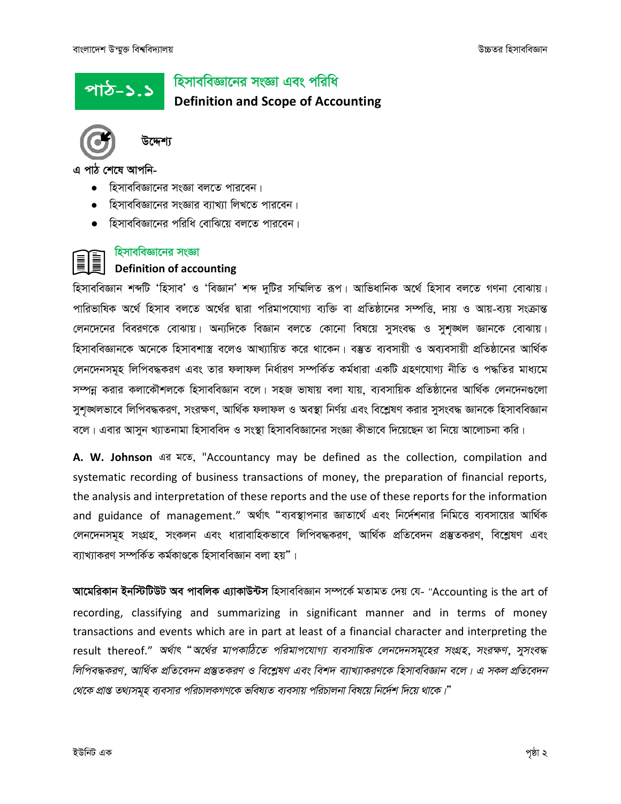<u>পাঠ-১.১</u>

## হিসাববিজ্ঞানের সংজ্ঞা এবং পরিধি **Definition and Scope of Accounting**



উদ্দেশ্য

এ পাঠ শেষে আপনি-

- $\bullet$  হিসাববিজ্ঞানের সংজ্ঞা বলতে পারবেন।
- হিসাববিজ্ঞানের সংজ্ঞার ব্যাখ্যা লিখতে পারবেন।
- হিসাববিজ্ঞানের পরিধি বোঝিয়ে বলতে পারবেন।

#### হিসাববিজ্ঞানের সংজ্ঞা **Definition of accounting**

হিসাববিজ্ঞান শব্দটি 'হিসাব' ও 'বিজ্ঞান' শব্দ দুটির সম্মিলিত রূপ। আভিধানিক অর্থে হিসাব বলতে গণনা বোঝায়। পারিভাষিক অর্থে হিসাব বলতে অর্থের দ্বারা পরিমাপযোগ্য ব্যক্তি বা প্রতিষ্ঠানের সম্পত্তি, দায় ও আয়-ব্যয় সংক্রান্ত লেনদেনের বিবরণকে বোঝায়। অন্যদিকে বিজ্ঞান বলতে কোনো বিষয়ে সুসংবদ্ধ ও সুশঙ্খল জ্ঞানকে বোঝায়। হিসাববিজ্ঞানকে অনেকে হিসাবশাস্ত্র বলেও আখ্যায়িত করে থাকেন। বম্ভুত ব্যবসায়ী ও অব্যবসায়ী প্রতিষ্ঠানের আর্থিক লেনদেনসমূহ লিপিবদ্ধকরণ এবং তার ফলাফল নির্ধারণ সম্পর্কিত কর্মধারা একটি গ্রহণযোগ্য নীতি ও পদ্ধতির মাধ্যমে সম্পন্ন করার কলাকৌশলকে হিসাববিজ্ঞান বলে। সহজ ভাষায় বলা যায়, ব্যবসায়িক প্রতিষ্ঠানের আর্থিক লেনদেনগুলো সুশঙ্খলভাবে লিপিবদ্ধকরণ, সংরক্ষণ, আর্থিক ফলাফল ও অবস্থা নির্ণয় এবং বিশ্লেষণ করার সুসংবদ্ধ জ্ঞানকে হিসাববিজ্ঞান বলে। এবার আসুন খ্যাতনামা হিসাববিদ ও সংস্থা হিসাববিজ্ঞানের সংজ্ঞা কীভাবে দিয়েছেন তা নিয়ে আলোচনা করি।

A. W. Johnson এর মতে, "Accountancy may be defined as the collection, compilation and systematic recording of business transactions of money, the preparation of financial reports, the analysis and interpretation of these reports and the use of these reports for the information and guidance of management." অর্থাৎ "ব্যবস্থাপনার জ্ঞাতার্থে এবং নির্দেশনার নিমিত্তে ব্যবসায়ের আর্থিক লেনদেনসমূহ সংগ্রহ, সংকলন এবং ধারাবাহিকভাবে লিপিবদ্ধকরণ, আর্থিক প্রতিবেদন প্রস্তুতকরণ, বিশ্লেষণ এবং ব্যাখ্যাকরণ সম্পর্কিত কর্মকাণ্ডকে হিসাববিজ্ঞান বলা হয়"।

আমেরিকান ইনস্টিটিউট অব পাবলিক এ্যাকাউন্টস হিসাববিজ্ঞান সম্পর্কে মতামত দেয় যে- "Accounting is the art of recording, classifying and summarizing in significant manner and in terms of money transactions and events which are in part at least of a financial character and interpreting the result thereof." অর্থাৎ "অর্থের মাপকাঠিতে পরিমাপযোগ্য ব্যবসায়িক লেনদেনসমূহের সংগ্রহ, সংরক্ষণ, সুসংবদ্ধ লিপিবদ্ধকরণ, আর্থিক প্রতিবেদন প্রস্তুতকরণ ও বিশ্লেষণ এবং বিশদ ব্যাখ্যাকরণকে হিসাববিজ্ঞান বলে। এ সকল প্রতিবেদন থেকে প্রাপ্ত তথ্যসমূহ ব্যবসার পরিচালকগণকে ভবিষ্যত ব্যবসায় পরিচালনা বিষয়ে নির্দেশ দিয়ে থাকে।"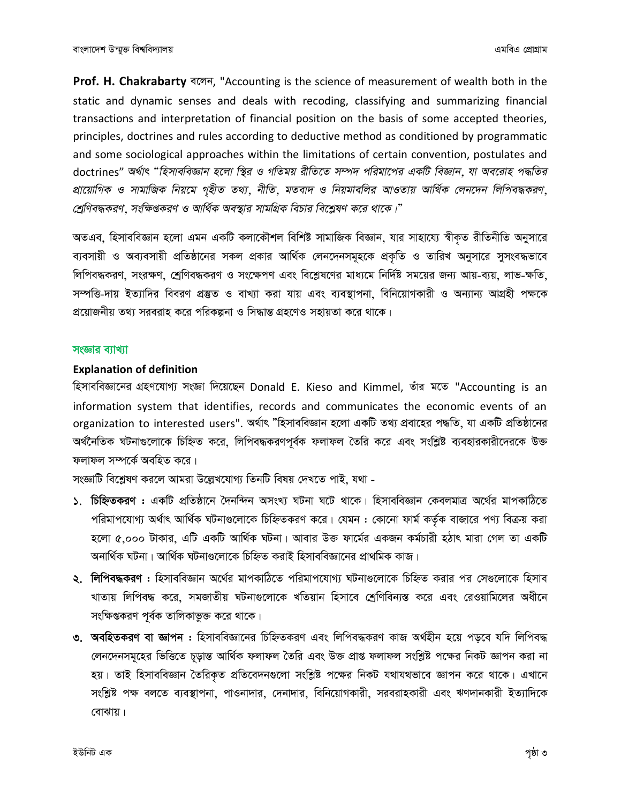Prof. H. Chakrabarty बल्न, "Accounting is the science of measurement of wealth both in the static and dynamic senses and deals with recoding, classifying and summarizing financial transactions and interpretation of financial position on the basis of some accepted theories, principles, doctrines and rules according to deductive method as conditioned by programmatic and some sociological approaches within the limitations of certain convention, postulates and doctrines" অর্থাৎ "হিসাববিজ্ঞান হলো স্থির ও গতিময় রীতিতে সম্পদ পরিমাপের একটি বিজ্ঞান, যা অবরোহ পদ্ধতির প্রায়োগিক ও সামাজিক নিয়মে গৃহীত তথ্য, নীতি, মতবাদ ও নিয়মাবলির আওতায় আর্থিক লেনদেন লিপিবদ্ধকরণ, শ্রেণিবদ্ধকরণ, সংক্ষিপ্তকরণ ও আর্থিক অবস্থার সামগ্রিক বিচার বিশ্লেষণ করে থাকে।"

অতএব, হিসাববিজ্ঞান হলো এমন একটি কলাকৌশল বিশিষ্ট সামাজিক বিজ্ঞান, যার সাহায্যে স্বীকৃত রীতিনীতি অনুসারে ব্যবসায়ী ও অব্যবসায়ী প্রতিষ্ঠানের সকল প্রকার আর্থিক লেনদেনসমূহকে প্রকৃতি ও তারিখ অনুসারে সুসংবদ্ধভাবে লিপিবদ্ধকরণ, সংরক্ষণ, শ্রেণিবদ্ধকরণ ও সংক্ষেপণ এবং বিশ্লেষণের মাধ্যমে নির্দিষ্ট সময়ের জন্য আয়-ব্যয়, লাভ-ক্ষতি, সম্পত্তি-দায় ইত্যাদির বিবরণ প্রস্তুত ও বাখ্যা করা যায় এবং ব্যবস্থাপনা, বিনিয়োগকারী ও অন্যান্য আগ্রহী পক্ষকে প্রয়োজনীয় তথ্য সরবরাহ করে পরিকল্পনা ও সিদ্ধান্ত গ্রহণেও সহায়তা করে থাকে।

#### সংজ্ঞার ব্যাখ্যা

#### **Explanation of definition**

হিসাববিজ্ঞানের গ্রহণযোগ্য সংজ্ঞা দিয়েছেন Donald E. Kieso and Kimmel, তাঁর মতে "Accounting is an information system that identifies, records and communicates the economic events of an organization to interested users". অৰ্থাৎ "হিসাববিজ্ঞান হলো একটি তথ্য প্ৰবাহের পদ্ধতি, যা একটি প্ৰতিষ্ঠানের অর্থনৈতিক ঘটনাগুলোকে চিহ্নিত করে, লিপিবদ্ধকরণপূর্বক ফলাফল তৈরি করে এবং সংশ্লিষ্ট ব্যবহারকারীদেরকে উক্ত ফলাফল সম্পৰ্কে অবহিত করে।

সংজ্ঞাটি বিশ্লেষণ করলে আমরা উল্লেখযোগ্য তিনটি বিষয় দেখতে পাই, যথা -

- ১. চিহ্নিতকরণ : একটি প্রতিষ্ঠানে দৈনন্দিন অসংখ্য ঘটনা ঘটে থাকে। হিসাববিজ্ঞান কেবলমাত্র অর্থের মাপকাঠিতে পরিমাপযোগ্য অর্থাৎ আর্থিক ঘটনাগুলোকে চিহ্নিতকরণ করে। যেমন : কোনো ফার্ম কর্তৃক বাজারে পণ্য বিক্রয় করা হলো ৫.০০০ টাকার, এটি একটি আর্থিক ঘটনা। আবার উক্ত ফার্মের একজন কর্মচারী হঠাৎ মারা গেল তা একটি অনাৰ্থিক ঘটনা। আৰ্থিক ঘটনাগুলোকে চিহ্নিত করাই হিসাববিজ্ঞানের প্রাথমিক কাজ।
- ২. **লিপিবদ্ধকরণ :** হিসাববিজ্ঞান অর্থের মাপকাঠিতে পরিমাপযোগ্য ঘটনাগুলোকে চিহ্নিত করার পর সেগুলোকে হিসাব খাতায় লিপিবদ্ধ করে, সমজাতীয় ঘটনাগুলোকে খতিয়ান হিসাবে শ্রেণিবিন্যস্ত করে এবং রেওয়ামিলের অধীনে সংক্ষিপ্তকরণ পূর্বক তালিকাভুক্ত করে থাকে।
- ৩. অবহিতকরণ বা জ্ঞাপন : হিসাববিজ্ঞানের চিহ্নিতকরণ এবং লিপিবদ্ধকরণ কাজ অর্থহীন হয়ে পড়বে যদি লিপিবদ্ধ লেনদেনসমূহের ভিত্তিতে চূড়ান্ত আর্থিক ফলাফল তৈরি এবং উক্ত প্রাপ্ত ফলাফল সংশ্লিষ্ট পক্ষের নিকট জ্ঞাপন করা না হয়। তাই হিসাববিজ্ঞান তৈরিকৃত প্রতিবেদনগুলো সংশ্লিষ্ট পক্ষের নিকট যথাযথভাবে জ্ঞাপন করে থাকে। এখানে সংশ্লিষ্ট পক্ষ বলতে ব্যবস্থাপনা, পাওনাদার, দেনাদার, বিনিয়োগকারী, সরবরাহকারী এবং ঋণদানকারী ইত্যাদিকে বোঝায়।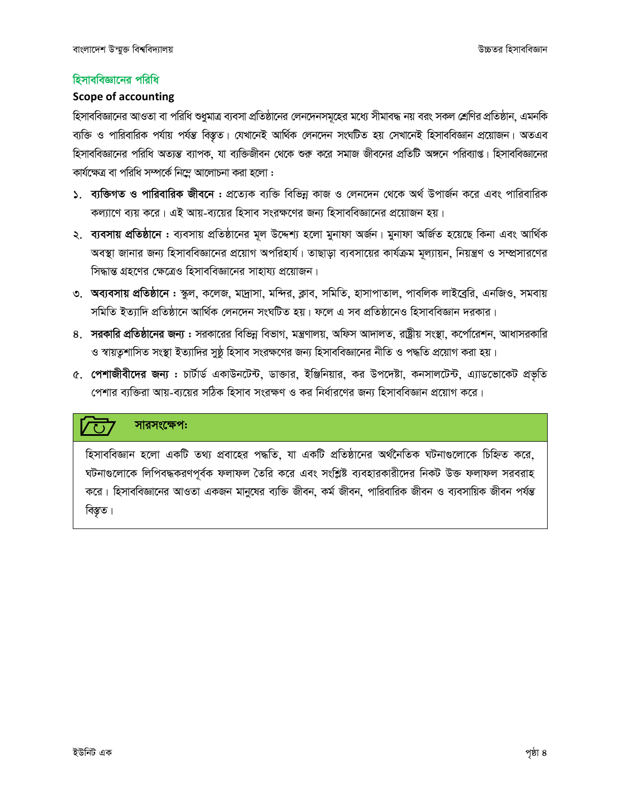#### হিসাববিজ্ঞানের পরিধি

#### **Scope of accounting**

হিসাববিজ্ঞানের আওতা বা পরিধি শুধুমাত্র ব্যবসা প্রতিষ্ঠানের লেনদেনসমূহের মধ্যে সীমাবদ্ধ নয় বরং সকল শ্রেণির প্রতিষ্ঠান, এমনকি ব্যক্তি ও পারিবারিক পর্যায় পর্যন্ত বিস্তৃত। যেখানেই আর্থিক লেনদেন সংঘটিত হয় সেখানেই হিসাববিজ্ঞান প্রয়োজন। অতএব হিসাববিজ্ঞানের পরিধি অত্যন্ত ব্যাপক, যা ব্যক্তিজীবন থেকে শুরু করে সমাজ জীবনের প্রতিটি অঙ্গনে পরিব্যাগু। হিসাববিজ্ঞানের কাৰ্যক্ষেত্ৰ বা পৱিধি সম্পৰ্কে নিম্নে আলোচনা করা হলো :

- ১. ব্যক্তিগত ও পারিবারিক জীবনে : প্রত্যেক ব্যক্তি বিভিন্ন কাজ ও লেনদেন থেকে অর্থ উপার্জন করে এবং পারিবারিক কল্যাণে ব্যয় করে। এই আয়-ব্যয়ের হিসাব সংরক্ষণের জন্য হিসাববিজ্ঞানের প্রয়োজন হয়।
- ২. ব্যবসায় প্রতিষ্ঠানে : ব্যবসায় প্রতিষ্ঠানের মূল উদ্দেশ্য হলো মুনাফা অর্জন। মুনাফা অর্জিত হয়েছে কিনা এবং আর্থিক অবস্থা জানার জন্য হিসাববিজ্ঞানের প্রয়োগ অপরিহার্য। তাছাড়া ব্যবসায়ের কার্যক্রম মূল্যায়ন, নিয়ন্ত্রণ ও সম্প্রসারণের সিদ্ধান্ত গ্রহণের ক্ষেত্রেও হিসাববিজ্ঞানের সাহায্য প্রয়োজন।
- ৩. অব্যবসায় প্রতিষ্ঠানে : স্কুল, কলেজ, মাদ্রাসা, মন্দির, ক্লাব, সমিতি, হাসাপাতাল, পাবলিক লাইব্রেরি, এনজিও, সমবায় সমিতি ইত্যাদি প্রতিষ্ঠানে আর্থিক লেনদেন সংঘটিত হয়। ফলে এ সব প্রতিষ্ঠানেও হিসাববিজ্ঞান দরকার।
- ৪. সরকারি প্রতিষ্ঠানের জন্য : সরকারের বিভিন্ন বিভাগ, মন্ত্রণালয়, অফিস আদালত, রাষ্ট্রীয় সংস্থা, কর্পোরেশন, আধাসরকারি ও স্বায়ত্বশাসিত সংস্থা ইত্যাদির সুষ্ঠু হিসাব সংরক্ষণের জন্য হিসাববিজ্ঞানের নীতি ও পদ্ধতি প্রয়োগ করা হয়।
- ৫. পেশাজীবীদের জন্য : চার্টার্ড একাউনটেন্ট, ডাক্তার, ইঞ্জিনিয়ার, কর উপদেষ্টা, কনসালটেন্ট, এ্যাডভোকেট প্রভৃতি পেশার ব্যক্তিরা আয়-ব্যয়ের সঠিক হিসাব সংরক্ষণ ও কর নির্ধারণের জন্য হিসাববিজ্ঞান প্রয়োগ করে।

#### সারসংক্ষেপ:  $\overline{\mathcal{F}}$

হিসাববিজ্ঞান হলো একটি তথ্য প্রবাহের পদ্ধতি, যা একটি প্রতিষ্ঠানের অর্থনৈতিক ঘটনাগুলোকে চিহ্নিত করে, ঘটনাগুলোকে লিপিবদ্ধকরণপূর্বক ফলাফল তৈরি করে এবং সংশ্লিষ্ট ব্যবহারকারীদের নিকট উক্ত ফলাফল সরবরাহ করে। হিসাববিজ্ঞানের আওতা একজন মানুষের ব্যক্তি জীবন, কর্ম জীবন, পারিবারিক জীবন ও ব্যবসায়িক জীবন পর্যন্ত বিস্তৃত।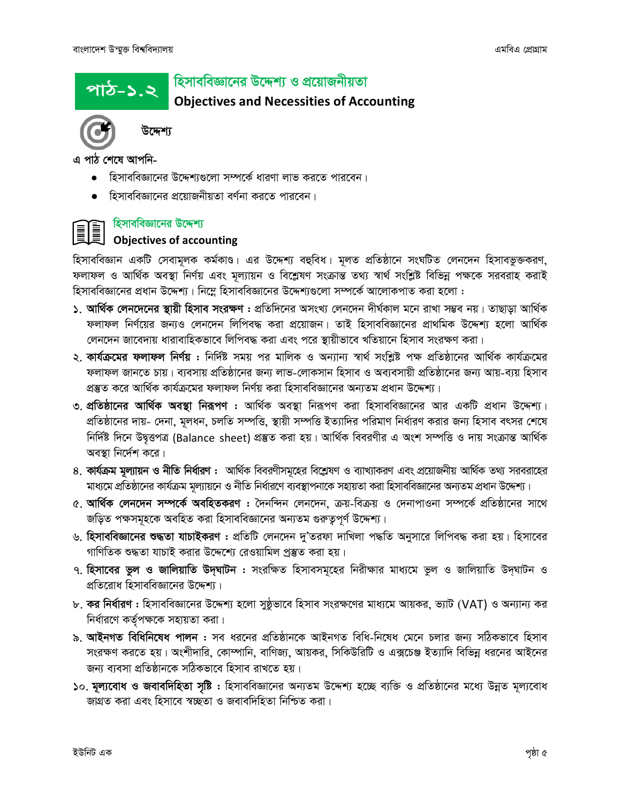<u> পাঠ-১.২</u>

#### হিসাববিজ্ঞানের উদ্দেশ্য ও প্রয়োজনীয়তা

**Objectives and Necessities of Accounting** 



উদ্দেশ্য

এ পাঠ শেষে আপনি-

- হিসাববিজ্ঞানের উদ্দেশ্যগুলো সম্পর্কে ধারণা লাভ করতে পারবেন।
- হিসাববিজ্ঞানের প্রয়োজনীয়তা বর্ণনা করতে পারবেন।



#### হিসাববিজ্ঞানের উদ্দেশ্য

# **EXAMPLE Objectives of accounting**

হিসাববিজ্ঞান একটি সেবামূলক কর্মকাণ্ড। এর উদ্দেশ্য বহুবিধ। মূলত প্রতিষ্ঠানে সংঘটিত লেনদেন হিসাবভুক্তকরণ, ফলাফল ও আৰ্থিক অবস্থা নিৰ্ণয় এবং মূল্যায়ন ও বিশ্লেষণ সংক্ৰান্ত তথ্য স্বাৰ্থ সংশ্লিষ্ট বিভিন্ন পক্ষকে সরবরাহ করাই হিসাববিজ্ঞানের প্রধান উদ্দেশ্য। নিম্নে হিসাববিজ্ঞানের উদ্দেশ্যগুলো সম্পর্কে আলোকপাত করা হলো :

- ১. আর্থিক লেনদেনের স্থায়ী হিসাব সংরক্ষণ : প্রতিদিনের অসংখ্য লেনদেন দীর্ঘকাল মনে রাখা সম্ভব নয়। তাছাড়া আর্থিক ফলাফল নির্ণয়ের জন্যও লেনদেন লিপিবদ্ধ করা প্রয়োজন। তাই হিসাববিজ্ঞানের প্রাথমিক উদ্দেশ্য হলো আর্থিক লেনদেন জাবেদায় ধারাবাহিকভাবে লিপিবদ্ধ করা এবং পরে স্থায়ীভাবে খতিয়ানে হিসাব সংরক্ষণ করা।
- ২. **কাৰ্যক্ৰমের ফলাফল নিৰ্ণয় :** নিৰ্দিষ্ট সময় পর মালিক ও অন্যান্য স্বাৰ্থ সংশ্লিষ্ট পক্ষ প্ৰতিষ্ঠানের আৰ্থিক কাৰ্যক্ৰমের ফলাফল জানতে চায়। ব্যবসায় প্রতিষ্ঠানের জন্য লাভ-লোকসান হিসাব ও অব্যবসায়ী প্রতিষ্ঠানের জন্য আয়-ব্যয় হিসাব প্রস্তুত করে আর্থিক কার্যক্রমের ফলাফল নির্ণয় করা হিসাববিজ্ঞানের অন্যতম প্রধান উদ্দেশ্য।
- ৩. প্রতিষ্ঠানের আর্থিক অবস্থা নিরূপণ : আর্থিক অবস্থা নিরূপণ করা হিসাববিজ্ঞানের আর একটি প্রধান উদ্দেশ্য। প্রতিষ্ঠানের দায়- দেনা, মূলধন, চলতি সম্পত্তি, স্থায়ী সম্পত্তি ইত্যাদির পরিমাণ নির্ধারণ করার জন্য হিসাব বৎসর শেষে নির্দিষ্ট দিনে উদ্বত্তপত্র (Balance sheet) প্রস্তুত করা হয়। আর্থিক বিবরণীর এ অংশ সম্পত্তি ও দায় সংক্রান্ত আর্থিক অবস্থা নির্দেশ করে।
- ৪. কার্যক্রম মূল্যায়ন ও নীতি নির্ধারণ : আর্থিক বিবরণীসমূহের বিশ্লেষণ ও ব্যাখ্যাকরণ এবং প্রয়োজনীয় আর্থিক তথ্য সরবরাহের মাধ্যমে প্রতিষ্ঠানের কার্যক্রম মূল্যায়নে ও নীতি নির্ধারণে ব্যবস্থাপনাকে সহায়তা করা হিসাববিজ্ঞানের অন্যতম প্রধান উদ্দেশ্য।
- ৫. আর্থিক লেনদেন সম্পর্কে অবহিতকরণ : দৈনন্দিন লেনদেন, ক্রয়-বিক্রয় ও দেনাপাওনা সম্পর্কে প্রতিষ্ঠানের সাথে জড়িত পক্ষসমূহকে অবহিত করা হিসাববিজ্ঞানের অন্যতম গুরুত্বপূর্ণ উদ্দেশ্য।
- ৬. **হিসাববিজ্ঞানের শুদ্ধতা যাচাইকরণ :** প্রতিটি লেনদেন দু'তরফা দাখিলা পদ্ধতি অনুসারে লিপিবদ্ধ করা হয়। হিসাবের গাণিতিক শুদ্ধতা যাচাই করার উদ্দেশ্যে রেওয়ামিল প্রস্তুত করা হয়।
- ৭. হিসাবের ভুল ও জালিয়াতি উদ্ঘাটন : সংরক্ষিত হিসাবসমূহের নিরীক্ষার মাধ্যমে ভুল ও জালিয়াতি উদ্ঘাটন ও প্রতিরোধ হিসাববিজ্ঞানের উদ্দেশ্য।
- ৮. **কর নির্ধারণ :** হিসাববিজ্ঞানের উদ্দেশ্য হলো সুষ্ঠূভাবে হিসাব সংরক্ষণের মাধ্যমে আয়কর, ভ্যাট (VAT) ও অন্যান্য কর নিৰ্ধারণে কৰ্তৃপক্ষকে সহায়তা করা।
- ৯. **আইনগত বিধিনিষেধ পালন :** সব ধরনের প্রতিষ্ঠানকে আইনগত বিধি-নিষেধ মেনে চলার জন্য সঠিকভাবে হিসাব সংরক্ষণ করতে হয়। অংশীদারি, কোম্পানি, বাণিজ্য, আয়কর, সিকিউরিটি ও এক্সচেঞ্জ ইত্যাদি বিভিন্ন ধরনের আইনের জন্য ব্যবসা প্রতিষ্ঠানকে সঠিকভাবে হিসাব রাখতে হয়।
- ১০. মূল্যবোধ ও জবাবদিহিতা সৃষ্টি : হিসাববিজ্ঞানের অন্যতম উদ্দেশ্য হচ্ছে ব্যক্তি ও প্রতিষ্ঠানের মধ্যে উন্নত মূল্যবোধ জাগ্রত করা এবং হিসাবে স্বচ্ছতা ও জবাবদিহিতা নিশ্চিত করা।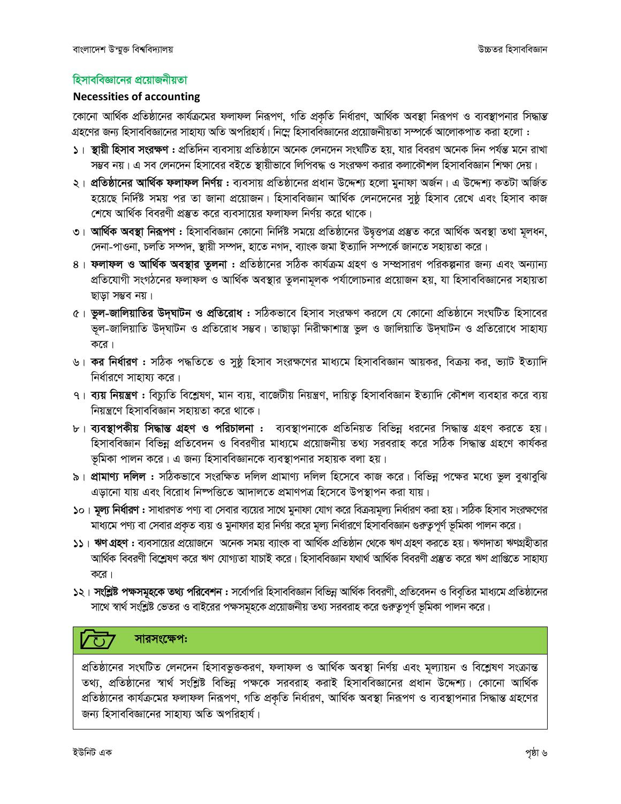#### হিসাববিজ্ঞানের প্রয়োজনীয়তা

#### **Necessities of accounting**

কোনো আর্থিক প্রতিষ্ঠানের কার্যক্রমের ফলাফল নিরূপণ, গতি প্রকৃতি নির্ধারণ, আর্থিক অবস্থা নিরূপণ ও ব্যবস্থাপনার সিদ্ধান্ত গ্রহণের জন্য হিসাববিজ্ঞানের সাহায্য অতি অপরিহার্য। নিম্নে হিসাববিজ্ঞানের প্রয়োজনীয়তা সম্পর্কে আলোকপাত করা হলো :

- ১। স্থায়ী হিসাব সংরক্ষণ : প্রতিদিন ব্যবসায় প্রতিষ্ঠানে অনেক লেনদেন সংঘটিত হয়, যার বিবরণ অনেক দিন পর্যন্ত মনে রাখা সম্ভব নয়। এ সব লেনদেন হিসাবের বইতে স্থায়ীভাবে লিপিবদ্ধ ও সংরক্ষণ করার কলাকৌশল হিসাববিজ্ঞান শিক্ষা দেয়।
- ২। **প্রতিষ্ঠানের আর্থিক ফলাফল নির্ণয় :** ব্যবসায় প্রতিষ্ঠানের প্রধান উদ্দেশ্য হলো মুনাফা অর্জন। এ উদ্দেশ্য কতটা অর্জিত হয়েছে নির্দিষ্ট সময় পর তা জানা প্রয়োজন। হিসাববিজ্ঞান আর্থিক লেনদেনের সুষ্ঠূ হিসাব রেখে এবং হিসাব কাজ শেষে আর্থিক বিবরণী প্রস্তুত করে ব্যবসায়ের ফলাফল নির্ণয় করে থাকে।
- ৩। **আর্থিক অবস্থা নিরূপণ :** হিসাববিজ্ঞান কোনো নির্দিষ্ট সময়ে প্রতিষ্ঠানের উদ্বত্তপত্র প্রস্তুত করে আর্থিক অবস্থা তথা মূলধন, দেনা-পাওনা, চলতি সম্পদ, স্থায়ী সম্পদ, হাতে নগদ, ব্যাংক জমা ইত্যাদি সম্পর্কে জানতে সহায়তা করে।
- ৪। ফলাফল ও আর্থিক অবস্থার তলনা : প্রতিষ্ঠানের সঠিক কার্যক্রম গ্রহণ ও সম্প্রসারণ পরিকল্পনার জন্য এবং অন্যান্য প্রতিযোগী সংগঠনের ফলাফল ও আর্থিক অবস্থার তুলনামূলক পর্যালোচনার প্রয়োজন হয়, যা হিসাববিজ্ঞানের সহায়তা ছাড়া সম্ভব নয়।
- ৫। **ভুল-জালিয়াতির উদ্ঘাটন ও প্রতিরোধ :** সঠিকভাবে হিসাব সংরক্ষণ করলে যে কোনো প্রতিষ্ঠানে সংঘটিত হিসাবের ভূল-জালিয়াতি উদ্ঘাটন ও প্রতিরোধ সম্ভব। তাছাড়া নিরীক্ষাশাস্ত্র ভুল ও জালিয়াতি উদ্ঘাটন ও প্রতিরোধে সাহায্য করে।
- ৬। কর নির্ধারণ : সঠিক পদ্ধতিতে ও সুষ্ঠু হিসাব সংরক্ষণের মাধ্যমে হিসাববিজ্ঞান আয়কর, বিক্রয় কর, ভ্যাট ইত্যাদি নিৰ্ধারণে সাহায্য করে।
- ৭। ব্যয় নিয়ন্ত্রণ : বিচ্যুতি বিশ্লেষণ, মান ব্যয়, বাজেটীয় নিয়ন্ত্রণ, দায়িতু হিসাববিজ্ঞান ইত্যাদি কৌশল ব্যবহার করে ব্যয় নিয়ন্ত্রণে হিসাববিজ্ঞান সহায়তা করে থাকে।
- ৮। ব্যবস্থাপকীয় সিদ্ধান্ত গ্রহণ ও পরিচালনা : ব্যবস্থাপনাকে প্রতিনিয়ত বিভিন্ন ধরনের সিদ্ধান্ত গ্রহণ করতে হয়। হিসাববিজ্ঞান বিভিন্ন প্রতিবেদন ও বিবরণীর মাধ্যমে প্রয়োজনীয় তথ্য সরবরাহ করে সঠিক সিদ্ধান্ত গ্রহণে কার্যকর ভূমিকা পালন করে। এ জন্য হিসাববিজ্ঞানকে ব্যবস্থাপনার সহায়ক বলা হয়।
- ৯। **প্রামাণ্য দলিল :** সঠিকভাবে সংরক্ষিত দলিল প্রামাণ্য দলিল হিসেবে কাজ করে। বিভিন্ন পক্ষের মধ্যে ভুল বুঝাবুঝি এডানো যায় এবং বিরোধ নিষ্পত্তিতে আদালতে প্রমাণপত্র হিসেবে উপস্থাপন করা যায়।
- ১০। **মূল্য নির্ধারণ :** সাধারণত পণ্য বা সেবার ব্যয়ের সাথে মুনাফা যোগ করে বিক্রয়মূল্য নির্ধারণ করা হয়। সঠিক হিসাব সংরক্ষণের মাধ্যমে পণ্য বা সেবার প্রকৃত ব্যয় ও মুনাফার হার নির্ণয় করে মূল্য নির্ধারণে হিসাববিজ্ঞান গুরুত্বপূর্ণ ভূমিকা পালন করে।
- ১১। ঋণ গ্রহণ: ব্যবসায়ের প্রয়োজনে অনেক সময় ব্যাংক বা আর্থিক প্রতিষ্ঠান থেকে ঋণ গ্রহণ করতে হয়। ঋণদাতা ঋণগ্রহীতার আৰ্থিক বিবরণী বিশ্লেষণ করে ঋণ যোগ্যতা যাচাই করে। হিসাববিজ্ঞান যথার্থ আর্থিক বিবরণী প্রষ্কুত করে ঋণ প্রাপ্তিতে সাহায্য করে।
- ১২। **সংশ্লিষ্ট পক্ষসমূহকে তথ্য পরিবেশন :** সর্বোপরি হিসাববিজ্ঞান বিভিন্ন আর্থিক বিবরণী, প্রতিবেদন ও বিবৃতির মাধ্যমে প্রতিষ্ঠানের সাথে স্বার্থ সংশ্লিষ্ট ভেতর ও বাইরের পক্ষসমূহকে প্রয়োজনীয় তথ্য সরবরাহ করে গুরুত্বপূর্ণ ভূমিকা পালন করে।

#### সারসংক্ষেপ:

প্রতিষ্ঠানের সংঘটিত লেনদেন হিসাবভুক্তকরণ, ফলাফল ও আর্থিক অবস্থা নির্ণয় এবং মূল্যায়ন ও বিশ্লেষণ সংক্রান্ত তথ্য, প্রতিষ্ঠানের স্বার্থ সংশ্লিষ্ট বিভিন্ন পক্ষকে সরবরাহ করাই হিসাববিজ্ঞানের প্রধান উদ্দেশ্য। কোনো আর্থিক প্রতিষ্ঠানের কার্যক্রমের ফলাফল নিরূপণ, গতি প্রকৃতি নির্ধারণ, আর্থিক অবস্থা নিরূপণ ও ব্যবস্থাপনার সিদ্ধান্ত গ্রহণের জন্য হিসাববিজ্ঞানের সাহায্য অতি অপরিহার্য।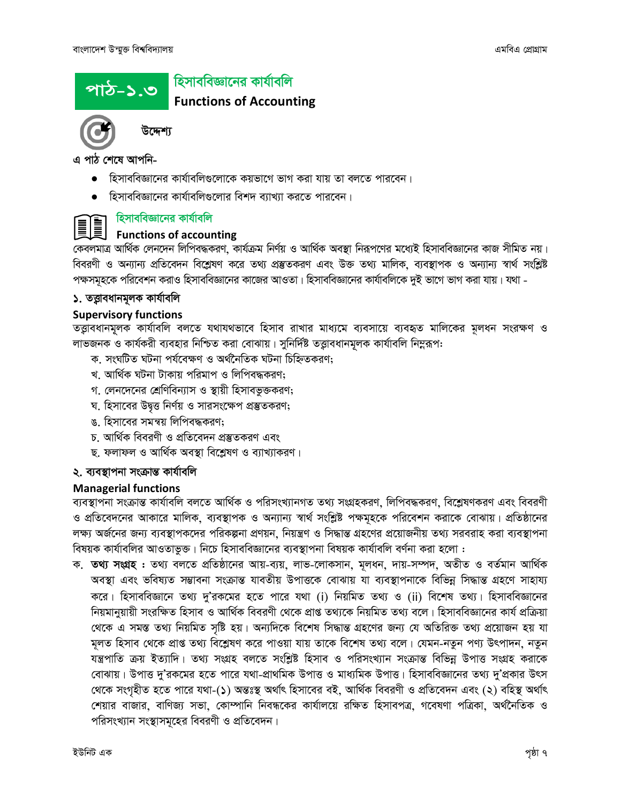## পাঠ-১.৩

#### হিসাববিজ্ঞানের কার্যাবলি

#### **Functions of Accounting**



উদ্দেশ্য

এ পাঠ শেষে আপনি-

- হিসাববিজ্ঞানের কার্যাবলিগুলোকে কয়ভাগে ভাগ করা যায় তা বলতে পারবেন।
- হিসাববিজ্ঞানের কার্যাবলিগুলোর বিশদ ব্যাখ্যা করতে পারবেন।



#### হিসাববিজ্ঞানের কার্যাবলি

#### **Functions of accounting**

.<br>কেবলমাত্র আর্থিক লেনদেন লিপিবদ্ধকরণ, কার্যক্রম নির্ণয় ও আর্থিক অবস্থা নিরূপণের মধ্যেই হিসাববিজ্ঞানের কাজ সীমিত নয়। বিবরণী ও অন্যান্য প্রতিবেদন বিশ্লেষণ করে তথ্য প্রস্তুতকরণ এবং উক্ত তথ্য মালিক, ব্যবস্থাপক ও অন্যান্য স্বার্থ সংশ্লিষ্ট পক্ষসমূহকে পরিবেশন করাও হিসাববিজ্ঞানের কাজের আওতা। হিসাববিজ্ঞানের কার্যাবলিকে দুই ভাগে ভাগ করা যায়। যথা -

#### ১. তত্তাবধানমূলক কাৰ্যাবলি

#### **Supervisory functions**

তত্ত্বাবধানমূলক কার্যাবলি বলতে যথাযথভাবে হিসাব রাখার মাধ্যমে ব্যবসায়ে ব্যবহৃত মালিকের মূলধন সংরক্ষণ ও লাভজনক ও কার্যকরী ব্যবহার নিশ্চিত করা বোঝায়। সুনির্দিষ্ট তত্ত্বাবধানমূলক কার্যাবলি নিম্নরূপ:

- ক, সংঘটিত ঘটনা পৰ্যবেক্ষণ ও অৰ্থনৈতিক ঘটনা চিহ্নিতকরণ:
- খ. আৰ্থিক ঘটনা টাকায় পরিমাপ ও লিপিবদ্ধকরণ;
- গ. লেনদেনের শ্রেণিবিন্যাস ও স্থায়ী হিসাবভুক্তকরণ;
- ঘ. হিসাবের উদ্বত্ত নির্ণয় ও সারসংক্ষেপ প্রস্তুতকরণ;
- ঙ. হিসাবের সমন্বয় লিপিবদ্ধকরণ;
- চ আৰ্থিক বিবরণী ও প্রতিবেদন প্রস্তুতকরণ এবং
- ছ. ফলাফল ও আৰ্থিক অবস্থা বিশ্লেষণ ও ব্যাখ্যাকরণ।

#### ২. ব্যবস্থাপনা সংক্ৰান্ত কাৰ্যাবলি

#### **Managerial functions**

ব্যবস্থাপনা সংক্রান্ত কার্যাবলি বলতে আর্থিক ও পরিসংখ্যানগত তথ্য সংগ্রহকরণ, লিপিবদ্ধকরণ, বিশ্লেষণকরণ এবং বিবরণী ও প্রতিবেদনের আকারে মালিক, ব্যবস্থাপক ও অন্যান্য স্বার্থ সংশ্লিষ্ট পক্ষমূহকে পরিবেশন করাকে বোঝায়। প্রতিষ্ঠানের লক্ষ্য অর্জনের জন্য ব্যবস্থাপকদের পরিকল্পনা প্রণয়ন, নিয়ন্ত্রণ ও সিদ্ধান্ত গ্রহণের প্রয়োজনীয় তথ্য সরবরাহ করা ব্যবস্থাপনা বিষয়ক কার্যাবলির আওতাভুক্ত। নিচে হিসাববিজ্ঞানের ব্যবস্থাপনা বিষয়ক কার্যাবলি বর্ণনা করা হলো:

ক. তথ্য সংগ্রহ : তথ্য বলতে প্রতিষ্ঠানের আয়-ব্যয়, লাভ-লোকসান, মূলধন, দায়-সম্পদ, অতীত ও বর্তমান আর্থিক অবস্থা এবং ভবিষ্যত সম্ভাবনা সংক্রান্ত যাবতীয় উপাত্তকে বোঝায় যা ব্যবস্থাপনাকে বিভিন্ন সিদ্ধান্ত গ্রহণে সাহায্য করে। হিসাববিজ্ঞানে তথ্য দু'রকমের হতে পারে যথা (i) নিয়মিত তথ্য ও (ii) বিশেষ তথ্য। হিসাববিজ্ঞানের নিয়মানুয়ায়ী সংরক্ষিত হিসাব ও আর্থিক বিবরণী থেকে প্রাপ্ত তথ্যকে নিয়মিত তথ্য বলে। হিসাববিজ্ঞানের কার্য প্রক্রিয়া থেকে এ সমস্ত তথ্য নিয়মিত সৃষ্টি হয়। অন্যদিকে বিশেষ সিদ্ধান্ত গ্ৰহণের জন্য যে অতিরিক্ত তথ্য প্রয়োজন হয় যা মূলত হিসাব থেকে প্রাপ্ত তথ্য বিশ্লেষণ করে পাওয়া যায় তাকে বিশেষ তথ্য বলে। যেমন-নতুন পণ্য উৎপাদন, নতুন যন্ত্রপাতি ক্রয় ইত্যাদি। তথ্য সংগ্রহ বলতে সংশ্লিষ্ট হিসাব ও পরিসংখ্যান সংক্রান্ত বিভিন্ন উপাত্ত সংগ্রহ করাকে বোঝায়। উপাত্ত দু'রকমের হতে পারে যথা-প্রাথমিক উপাত্ত ও মাধ্যমিক উপাত্ত। হিসাববিজ্ঞানের তথ্য দু'প্রকার উৎস থেকে সংগৃহীত হতে পারে যথা-(১) অন্তঃস্থ অর্থাৎ হিসাবের বই, আর্থিক বিবরণী ও প্রতিবেদন এবং (২) বহিস্থ অর্থাৎ শেয়ার বাজার, বাণিজ্য সভা, কোম্পানি নিবন্ধকের কার্যালয়ে রক্ষিত হিসাবপত্র, গবেষণা পত্রিকা, অর্থনৈতিক ও পরিসংখ্যান সংস্থাসমূহের বিবরণী ও প্রতিবেদন।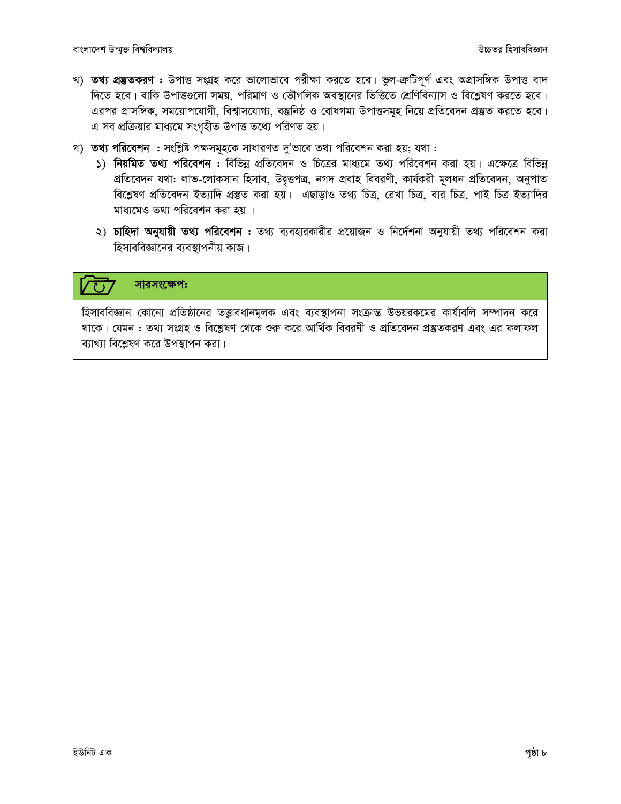- খ) তথ্য প্রম্ভতকরণ : উপাত্ত সংগ্রহ করে ভালোভাবে পরীক্ষা করতে হবে। ভুল-ক্রটিপূর্ণ এবং অপ্রাসঙ্গিক উপাত্ত বাদ দিতে হবে। বাকি উপাত্তুলো সময়, পরিমাণ ও ভৌগলিক অবস্থানের ভিত্তিতে শ্রেণিবিন্যাস ও বিশ্লেষণ করতে হবে। এরপর প্রাসঙ্গিক, সময়োপযোগী, বিশ্বাসযোগ্য, বস্তুনিষ্ঠ ও বোধগম্য উপাত্তসমূহ নিয়ে প্রতিবেদন প্রস্তুত করতে হবে। এ সব প্রক্রিয়ার মাধ্যমে সংগৃহীত উপাত্ত তথ্যে পরিণত হয়।
- গ) তথ্য পরিবেশন : সংশ্লিষ্ট পক্ষসমূহকে সাধারণত দু'ভাবে তথ্য পরিবেশন করা হয়; যথা :
	- ১) নিয়মিত তথ্য পরিবেশন : বিভিন্ন প্রতিবেদন ও চিত্রের মাধ্যমে তথ্য পরিবেশন করা হয়। এক্ষেত্রে বিভিন্ন প্রতিবেদন যথা: লাভ-লোকসান হিসাব, উদ্বত্তপত্র, নগদ প্রবাহ বিবরণী, কার্যকরী মূলধন প্রতিবেদন, অনুপাত বিশ্লেষণ প্ৰতিবেদন ইত্যাদি প্ৰস্তুত করা হয়। এছাড়াও তথ্য চিত্র, রেখা চিত্র, বার চিত্র, পাই চিত্র ইত্যাদির মাধ্যমেও তথ্য পরিবেশন করা হয় ।
	- ২) চাহিদা অনুযায়ী তথ্য পরিবেশন : তথ্য ব্যবহারকারীর প্রয়োজন ও নির্দেশনা অনুযায়ী তথ্য পরিবেশন করা হিসাববিজ্ঞানের ব্যবস্থাপনীয় কাজ।

#### সারসংক্ষেপ:

হিসাববিজ্ঞান কোনো প্রতিষ্ঠানের তত্ত্বাবধানমূলক এবং ব্যবস্থাপনা সংক্রান্ত উভয়রকমের কার্যাবলি সম্পাদন করে থাকে। যেমন : তথ্য সংগ্রহ ও বিশ্লেষণ থেকে শুরু করে আর্থিক বিবরণী ও প্রতিবেদন প্রস্তুতকরণ এবং এর ফলাফল ব্যাখ্যা বিশ্লেষণ করে উপস্থাপন করা।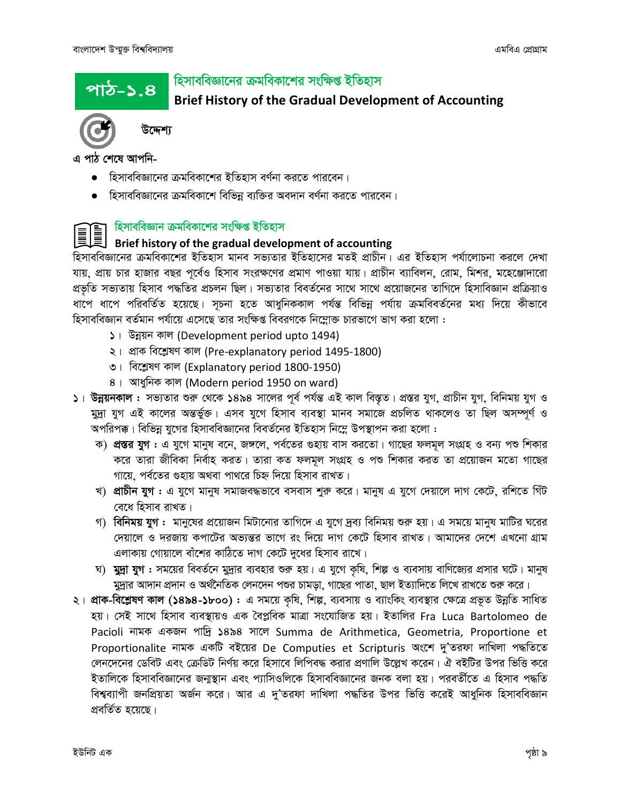<u>পাঠ–১.৪</u>

#### হিসাববিজ্ঞানের ক্রমবিকাশের সংক্ষিপ্ত ইতিহাস

**Brief History of the Gradual Development of Accounting** 



উদ্দেশ্য

এ পাঠ শেষে আপনি-

- হিসাববিজ্ঞানের ক্রমবিকাশের ইতিহাস বর্ণনা করতে পারবেন।
- হিসাববিজ্ঞানের ক্রমবিকাশে বিভিন্ন ব্যক্তির অবদান বর্ণনা করতে পারবেন।

#### হিসাববিজ্ঞান ক্রমবিকাশের সংক্ষিপ্ত ইতিহাস

#### Brief history of the gradual development of accounting

হিসাববিজ্ঞানের ক্রমবিকাশের ইতিহাস মানব সভ্যতার ইতিহাসের মতই প্রাচীন। এর ইতিহাস পর্যালোচনা করলে দেখা যায়, প্রায় চার হাজার বছর পূর্বেও হিসাব সংরক্ষণের প্রমাণ পাওয়া যায়। প্রাচীন ব্যাবিলন, রোম, মিশর, মহেঞ্জোদারো প্রভৃতি সভ্যতায় হিসাব পদ্ধতির প্রচলন ছিল। সভ্যতার বিবর্তনের সাথে সাথে প্রয়োজনের তাগিদে হিসাবিজ্ঞান প্রক্রিয়াও ধাপে ধাপে পরিবর্তিত হয়েছে। সূচনা হতে আধুনিককাল পর্যন্ত বিভিন্ন পর্যায় ক্রমবিবর্তনের মধ্য দিয়ে কীভাবে হিসাববিজ্ঞান বর্তমান পর্যায়ে এসেছে তার সংক্ষিপ্ত বিবরণকে নিম্লোক্ত চারভাগে ভাগ করা হলো :

- ১। উন্নয়ন কাল (Development period upto 1494)
- ২। প্ৰাক বিশ্লেষণ কাল (Pre-explanatory period 1495-1800)
- ৩। বিশ্লেষণ কাল (Explanatory period 1800-1950)
- ৪। আধুনিক কাল (Modern period 1950 on ward)
- ১। উন্নয়নকাল : সভ্যতার শুরু থেকে ১৪৯৪ সালের পূর্ব পর্যন্ত এই কাল বিস্তৃত। প্রস্তর যুগ, প্রাচীন যুগ, বিনিময় যুগ ও মুদ্রা যুগ এই কালের অন্তর্ভুক্ত। এসব যুগে হিসাব ব্যবস্থা মানব সমাজে প্রচলিত থাকলেও তা ছিল অসম্পূর্ণ ও অপরিপক্ক। বিভিন্ন যুগের হিসাববিজ্ঞানের বিবর্তনের ইতিহাস নিম্নে উপস্থাপন করা হলো :
	- ক) **প্রস্তর যুগ:** এ যুগে মানুষ বনে, জঙ্গলে, পর্বতের গুহায় বাস করতো। গাছের ফলমূল সংগ্রহ ও বন্য পশু শিকার করে তারা জীবিকা নির্বাহ করত। তারা কত ফলমূল সংগ্রহ ও পশু শিকার করত তা প্রয়োজন মতো গাছের গায়ে, পর্বতের গুহায় অথবা পাথরে চিহ্ন দিয়ে হিসাব রাখত।
	- খ) প্রাচীন যুগ : এ যুগে মানুষ সমাজবদ্ধভাবে বসবাস শুরু করে। মানুষ এ যুগে দেয়ালে দাগ কেটে, রশিতে গিঁট বেধে হিসাব রাখত।
	- গ) বিনিময় যুগ : মানুষের প্রয়োজন মিটানোর তাগিদে এ যুগে দ্রব্য বিনিময় শুরু হয়। এ সময়ে মানুষ মাটির ঘরের দেয়ালে ও দরজায় কপাটের অভান্তর ভাগে রং দিয়ে দাগ কেটে হিসাব রাখত। আমাদের দেশে এখনো গ্রাম এলাকায় গোয়ালে বাঁশের কাঠিতে দাগ কেটে দুধের হিসাব রাখে।
	- ঘ) মুদ্রা যুগ : সময়ের বিবর্তনে মুদ্রার ব্যবহার শুরু হয়। এ যুগে কৃষি, শিল্প ও ব্যবসায় বাণিজ্যের প্রসার ঘটে। মানুষ মুদ্রার আদান প্রদান ও অর্থনৈতিক লেনদেন পশুর চামড়া, গাছের পাতা, ছাল ইত্যাদিতে লিখে রাখতে শুরু করে।
- ২। প্রাক-বিশ্লেষণ কাল (১৪৯৪-১৮০০): এ সময়ে কৃষি, শিল্প, ব্যবসায় ও ব্যাংকিং ব্যবস্থার ক্ষেত্রে প্রভূত উন্নতি সাধিত হয়। সেই সাথে হিসাব ব্যবস্থায়ও এক বৈপ্লবিক মাত্রা সংযোজিত হয়। ইতালির Fra Luca Bartolomeo de Pacioli নামক একজন পাদ্রি ১৪৯৪ সালে Summa de Arithmetica, Geometria, Proportione et Proportionalite নামক একটি বইয়ের De Computies et Scripturis অংশে দু'তরফা দাখিলা পদ্ধতিতে লেনদেনের ডেবিট এবং ক্রেডিট নির্ণয় করে হিসাবে লিপিবদ্ধ করার প্রণালি উল্লেখ করেন। ঐ বইটির উপর ভিত্তি করে ইতালিকে হিসাববিজ্ঞানের জন্মস্থান এবং প্যাসিওলিকে হিসাববিজ্ঞানের জনক বলা হয়। পরবর্তীতে এ হিসাব পদ্ধতি বিশ্বব্যাপী জনপ্রিয়তা অর্জন করে। আর এ দ'তরফা দাখিলা পদ্ধতির উপর ভিত্তি করেই আধুনিক হিসাববিজ্ঞান প্ৰবৰ্তিত হয়েছে।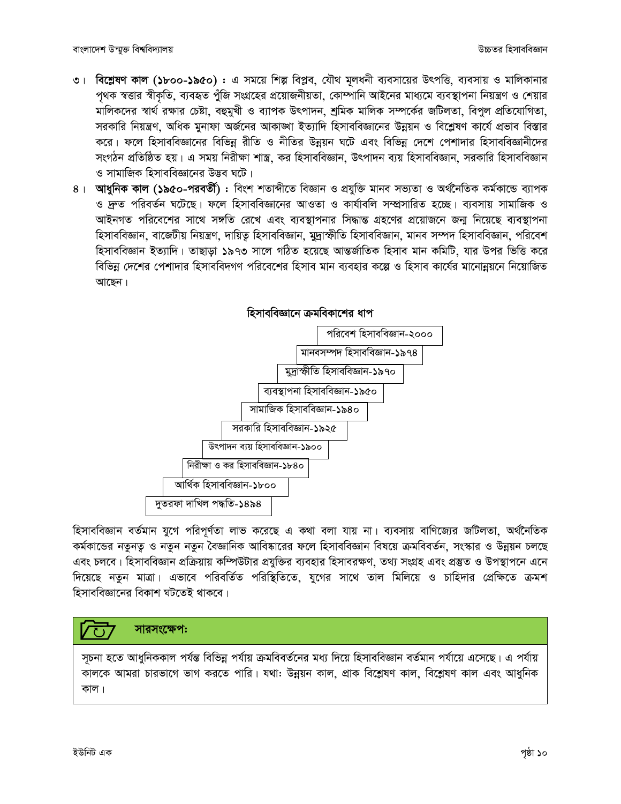- ৩। বিশ্লেষণ কাল (১৮০০-১৯৫০) : এ সময়ে শিল্প বিপ্লব, যৌথ মূলধনী ব্যবসায়ের উৎপত্তি, ব্যবসায় ও মালিকানার পৃথক স্বত্তার স্বীকৃতি, ব্যবহৃত পুঁজি সংগ্রহের প্রয়োজনীয়তা, কোম্পানি আইনের মাধ্যমে ব্যবস্থাপনা নিয়ন্ত্রণ ও শেয়ার মালিকদের স্বার্থ রক্ষার চেষ্টা, বহুমুখী ও ব্যাপক উৎপাদন, শ্রমিক মালিক সম্পর্কের জটিলতা, বিপুল প্রতিযোগিতা, সরকারি নিয়ন্ত্রণ, অধিক মুনাফা অর্জনের আকাঙ্খা ইত্যাদি হিসাববিজ্ঞানের উন্নয়ন ও বিশ্লেষণ কার্যে প্রভাব বিস্তার করে। ফলে হিসাববিজ্ঞানের বিভিন্ন রীতি ও নীতির উন্নয়ন ঘটে এবং বিভিন্ন দেশে পেশাদার হিসাববিজ্ঞানীদের সংগঠন প্রতিষ্ঠিত হয়। এ সময় নিরীক্ষা শাস্ত্র, কর হিসাববিজ্ঞান, উৎপাদন ব্যয় হিসাববিজ্ঞান, সরকারি হিসাববিজ্ঞান ও সামাজিক হিসাববিজ্ঞানের উদ্ভব ঘটে।
- ৪। আধুনিক কাল (১৯৫০-পরবর্তী) : বিংশ শতাব্দীতে বিজ্ঞান ও প্রযুক্তি মানব সভ্যতা ও অর্থনৈতিক কর্মকান্ডে ব্যাপক ও দ্রুত পরিবর্তন ঘটেছে। ফলে হিসাববিজ্ঞানের আওতা ও কার্যাবলি সম্প্রসারিত হচ্ছে। ব্যবসায় সামাজিক ও আইনগত পরিবেশের সাথে সঙ্গতি রেখে এবং ব্যবস্থাপনার সিদ্ধান্ত গ্রহণের প্রয়োজনে জন্য নিয়েছে ব্যবস্থাপনা হিসাববিজ্ঞান, বাজেটীয় নিয়ন্ত্রণ, দায়িত হিসাববিজ্ঞান, মুদ্রাস্ফীতি হিসাববিজ্ঞান, মানব সম্পদ হিসাববিজ্ঞান, পরিবেশ হিসাববিজ্ঞান ইত্যাদি। তাছাড়া ১৯৭৩ সালে গঠিত হয়েছে আন্তর্জাতিক হিসাব মান কমিটি, যার উপর ভিত্তি করে বিভিন্ন দেশের পেশাদার হিসাববিদগণ পরিবেশের হিসাব মান ব্যবহার কল্পে ও হিসাব কার্যের মানোন্নয়নে নিয়োজিত আছেন।



হিসাববিজ্ঞান বর্তমান যুগে পরিপূর্ণতা লাভ করেছে এ কথা বলা যায় না। ব্যবসায় বাণিজ্যের জটিলতা, অর্থনৈতিক কর্মকান্ডের নতুনতু ও নতুন নতুন বৈজ্ঞানিক আবিষ্কারের ফলে হিসাববিজ্ঞান বিষয়ে ক্রমবিবর্তন, সংস্কার ও উন্নয়ন চলছে এবং চলবে। হিসাববিজ্ঞান প্রক্রিয়ায় কম্পিউটার প্রযুক্তির ব্যবহার হিসাবরক্ষণ, তথ্য সংগ্রহ এবং প্রস্তুত ও উপস্থাপনে এনে দিয়েছে নতুন মাত্রা। এভাবে পরিবর্তিত পরিস্থিতিতে, যুগের সাথে তাল মিলিয়ে ও চাহিদার প্রেক্ষিতে ক্রমশ হিসাববিজ্ঞানের বিকাশ ঘটতেই থাকবে।



সূচনা হতে আধুনিককাল পর্যন্ত বিভিন্ন পর্যায় ক্রমবিবর্তনের মধ্য দিয়ে হিসাববিজ্ঞান বর্তমান পর্যায়ে এসেছে। এ পর্যায় কালকে আমরা চারভাগে ভাগ করতে পারি। যথা: উন্নয়ন কাল, প্রাক বিশ্লেষণ কাল, বিশ্লেষণ কাল এবং আধুনিক কাল।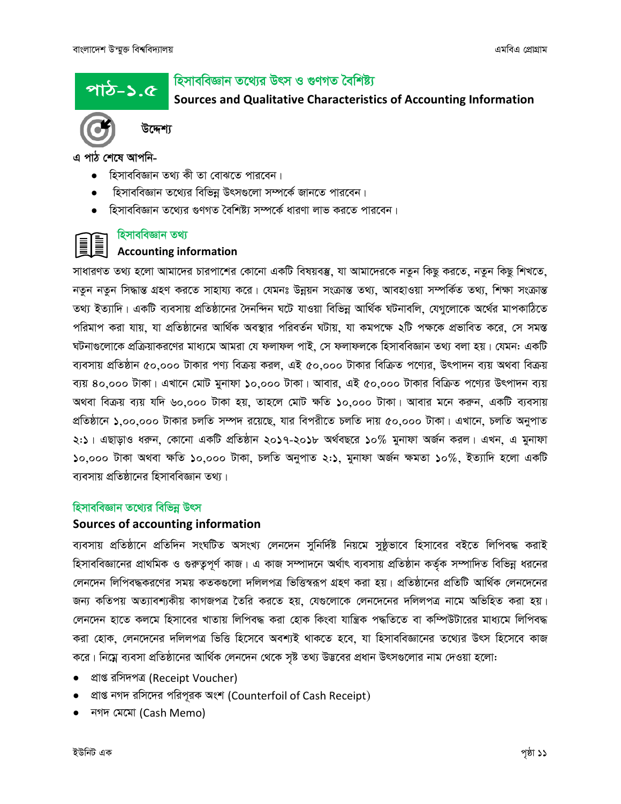পাঠ-১.৫

#### হিসাববিজ্ঞান তথ্যের উৎস ও গুণগত বৈশিষ্ট্য

Sources and Qualitative Characteristics of Accounting Information



উদ্দেশ্য

এ পাঠ শেষে আপনি-

- হিসাববিজ্ঞান তথ্য কী তা বোঝতে পারবেন।
- হিসাববিজ্ঞান তথ্যের বিভিন্ন উৎসগুলো সম্পর্কে জানতে পারবেন।
- হিসাববিজ্ঞান তথ্যের গুণগত বৈশিষ্ট্য সম্পর্কে ধারণা লাভ করতে পারবেন।

#### হিসাববিজ্ঞান তথ্য

#### **Accounting information**

সাধারণত তথ্য হলো আমাদের চারপাশের কোনো একটি বিষয়বস্তু, যা আমাদেরকে নতুন কিছু করতে, নতুন কিছু শিখতে, নতুন নতুন সিদ্ধান্ত গ্রহণ করতে সাহায্য করে। যেমনঃ উন্নয়ন সংক্রান্ত তথ্য, আবহাওয়া সম্পর্কিত তথ্য, শিক্ষা সংক্রান্ত তথ্য ইত্যাদি। একটি ব্যবসায় প্রতিষ্ঠানের দৈনন্দিন ঘটে যাওয়া বিভিন্ন আর্থিক ঘটনাবলি, যেগুলোকে অর্থের মাপকাঠিতে পরিমাপ করা যায়, যা প্রতিষ্ঠানের আর্থিক অবস্থার পরিবর্তন ঘটায়, যা কমপক্ষে ২টি পক্ষকে প্রভাবিত করে, সে সমস্ত ঘটনাগুলোকে প্রক্রিয়াকরণের মাধ্যমে আমরা যে ফলাফল পাই, সে ফলাফলকে হিসাববিজ্ঞান তথ্য বলা হয়। যেমন: একটি ব্যবসায় প্রতিষ্ঠান ৫০,০০০ টাকার পণ্য বিক্রয় করল, এই ৫০,০০০ টাকার বিক্রিত পণ্যের, উৎপাদন ব্যয় অথবা বিক্রয় ব্যয় ৪০,০০০ টাকা। এখানে মোট মুনাফা ১০,০০০ টাকা। আবার, এই ৫০,০০০ টাকার বিক্রিত পণ্যের উৎপাদন ব্যয় অথবা বিক্রয় ব্যয় যদি ৬০,০০০ টাকা হয়, তাহলে মোট ক্ষতি ১০,০০০ টাকা। আবার মনে করুন, একটি ব্যবসায় প্রতিষ্ঠানে ১,০০,০০০ টাকার চলতি সম্পদ রয়েছে, যার বিপরীতে চলতি দায় ৫০,০০০ টাকা। এখানে, চলতি অনুপাত ২:১। এছাড়াও ধরুন, কোনো একটি প্রতিষ্ঠান ২০১৭-২০১৮ অর্থবছরে ১০% মুনাফা অর্জন করল। এখন, এ মুনাফা ১০,০০০ টাকা অথবা ক্ষতি ১০,০০০ টাকা, চলতি অনুপাত ২:১, মুনাফা অৰ্জন ক্ষমতা ১০%, ইত্যাদি হলো একটি ব্যবসায় প্রতিষ্ঠানের হিসাববিজ্ঞান তথ্য।

#### হিসাববিজ্ঞান তথ্যের বিভিন্ন উৎস

#### Sources of accounting information

ব্যবসায় প্রতিষ্ঠানে প্রতিদিন সংঘটিত অসংখ্য লেনদেন সুনির্দিষ্ট নিয়মে সুষ্ঠূভাবে হিসাবের বইতে লিপিবদ্ধ করাই হিসাববিজ্ঞানের প্রাথমিক ও গুরুত্বপূর্ণ কাজ। এ কাজ সম্পাদনে অর্থাৎ ব্যবসায় প্রতিষ্ঠান কর্তৃক সম্পাদিত বিভিন্ন ধরনের লেনদেন লিপিবদ্ধকরণের সময় কতকগুলো দলিলপত্র ভিত্তিস্বরূপ গ্রহণ করা হয়। প্রতিষ্ঠানের প্রতিটি আর্থিক লেনদেনের জন্য কতিপয় অত্যাবশ্যকীয় কাগজপত্র তৈরি করতে হয়, যেগুলোকে লেনদেনের দলিলপত্র নামে অভিহিত করা হয়। লেনদেন হাতে কলমে হিসাবের খাতায় লিপিবদ্ধ করা হোক কিংবা যান্ত্রিক পদ্ধতিতে বা কম্পিউটারের মাধ্যমে লিপিবদ্ধ করা হোক, লেনদেনের দলিলপত্র ভিত্তি হিসেবে অবশ্যই থাকতে হবে, যা হিসাববিজ্ঞানের তথ্যের উৎস হিসেবে কাজ করে। নিম্নে ব্যবসা প্রতিষ্ঠানের আর্থিক লেনদেন থেকে সৃষ্ট তথ্য উদ্ভবের প্রধান উৎসগুলোর নাম দেওয়া হলো:

- প্ৰাপ্ত রসিদপত্র (Receipt Voucher)
- প্রাপ্ত নগদ রসিদের পরিপূরক অংশ (Counterfoil of Cash Receipt)
- নগদ মেমো (Cash Memo)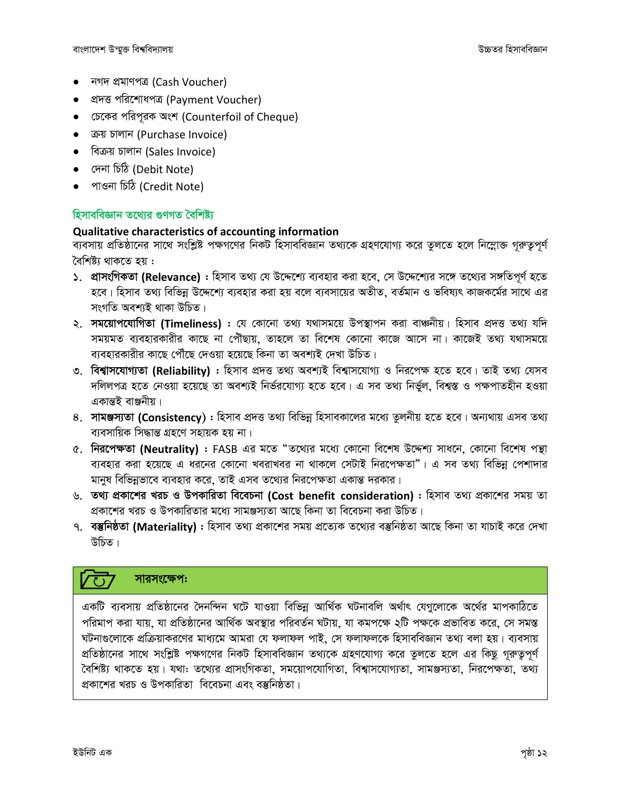- নগদ প্ৰমাণপত্ৰ (Cash Voucher)
- প্ৰদত্ত পরিশোধপত্র (Payment Voucher)
- চেকের পরিপূরক অংশ (Counterfoil of Cheque)  $\bullet$
- ক্রয় চালান (Purchase Invoice)
- বিক্রয় চালান (Sales Invoice)
- দেনা চিঠি (Debit Note)
- পাওনা চিঠি (Credit Note)

#### হিসাববিজ্ঞান তথ্যের গুণগত বৈশিষ্ট্য

#### Qualitative characteristics of accounting information

ব্যবসায় প্রতিষ্ঠানের সাথে সংশ্লিষ্ট পক্ষগণের নিকট হিসাববিজ্ঞান তথ্যকে গ্রহণযোগ্য করে তুলতে হলে নিম্লোক্ত গূরুতুপূর্ণ বৈশিষ্ট্য থাকতে হয় :

- ১. প্রাসংগিকতা (Relevance) : হিসাব তথ্য যে উদ্দেশ্যে ব্যবহার করা হবে, সে উদ্দেশ্যের সঙ্গে তথ্যের সঙ্গতিপূর্ণ হতে হবে। হিসাব তথ্য বিভিন্ন উদ্দেশ্যে ব্যবহার করা হয় বলে ব্যবসায়ের অতীত, বর্তমান ও ভবিষ্যৎ কাজকর্মের সাথে এর সংগতি অবশ্যই থাকা উচিত।
- ২. **সময়োপযোগিতা (Timeliness)** : যে কোনো তথ্য যথাসময়ে উপস্থাপন করা বাঞ্চনীয়। হিসাব প্রদত্ত তথ্য যদি সময়মত ব্যবহারকারীর কাছে না পৌঁছায়, তাহলে তা বিশেষ কোনো কাজে আসে না। কাজেই তথ্য যথাসময়ে ব্যবহারকারীর কাছে পৌঁছে দেওয়া হয়েছে কিনা তা অবশ্যই দেখা উচিত।
- ৩. বিশ্বাসযোগ্যতা (Reliability) : হিসাব প্রদত্ত তথ্য অবশ্যই বিশ্বাসযোগ্য ও নিরপেক্ষ হতে হবে। তাই তথ্য যেসব দলিলপত্র হতে নেওয়া হয়েছে তা অবশ্যই নির্ভরযোগ্য হতে হবে। এ সব তথ্য নির্ভুল, বিশ্বস্ত ও পক্ষপাতহীন হওয়া একান্তই বাঞ্জনীয়।
- 8. সামঞ্জস্যতা (Consistency): হিসাব প্রদত্ত তথ্য বিভিন্ন হিসাবকালের মধ্যে তুলনীয় হতে হবে। অন্যথায় এসব তথ্য ব্যবসায়িক সিদ্ধান্ত গ্ৰহণে সহায়ক হয় না।
- ৫. নিরপেক্ষতা (Neutrality) : FASB এর মতে "তথ্যের মধ্যে কোনো বিশেষ উদ্দেশ্য সাধনে, কোনো বিশেষ পন্থা ব্যবহার করা হয়েছে এ ধরনের কোনো খবরাখবর না থাকলে সেটাই নিরপেক্ষতা"। এ সব তথ্য বিভিন্ন পেশাদার মানুষ বিভিন্নভাবে ব্যবহার করে, তাই এসব তথ্যের নিরপেক্ষতা একান্ত দরকার।
- ৬. তথ্য প্রকাশের খরচ ও উপকারিতা বিবেচনা (Cost benefit consideration) : হিসাব তথ্য প্রকাশের সময় তা প্রকাশের খরচ ও উপকারিতার মধ্যে সামঞ্জস্যতা আছে কিনা তা বিবেচনা করা উচিত।
- ৭. ব**ম্ভ্রনিষ্ঠতা (Materiality) :** হিসাব তথ্য প্রকাশের সময় প্রত্যেক তথ্যের বস্তুনিষ্ঠতা আছে কিনা তা যাচাই করে দেখা উচিত ।

#### সারসংক্ষেপ:

একটি ব্যবসায় প্রতিষ্ঠানের দৈনন্দিন ঘটে যাওয়া বিভিন্ন আর্থিক ঘটনাবলি অর্থাৎ যেগুলোকে অর্থের মাপকাঠিতে পরিমাপ করা যায়, যা প্রতিষ্ঠানের আর্থিক অবস্থার পরিবর্তন ঘটায়, যা কমপক্ষে ২টি পক্ষকে প্রভাবিত করে, সে সমস্ত ঘটনাগুলোকে প্রক্রিয়াকরণের মাধ্যমে আমরা যে ফলাফল পাই, সে ফলাফলকে হিসাববিজ্ঞান তথ্য বলা হয়। ব্যবসায় প্রতিষ্ঠানের সাথে সংশ্লিষ্ট পক্ষগণের নিকট হিসাববিজ্ঞান তথ্যকে গ্রহণযোগ্য করে তুলতে হলে এর কিছু গূরুতুপূর্ণ বৈশিষ্ট্য থাকতে হয়। যথা: তথ্যের প্রাসংগিকতা, সময়োপযোগিতা, বিশ্বাসযোগ্যতা, সামঞ্জস্যতা, নিরপেক্ষতা, তথ্য প্রকাশের খরচ ও উপকারিতা বিবেচনা এবং বস্ত্রনিষ্ঠতা।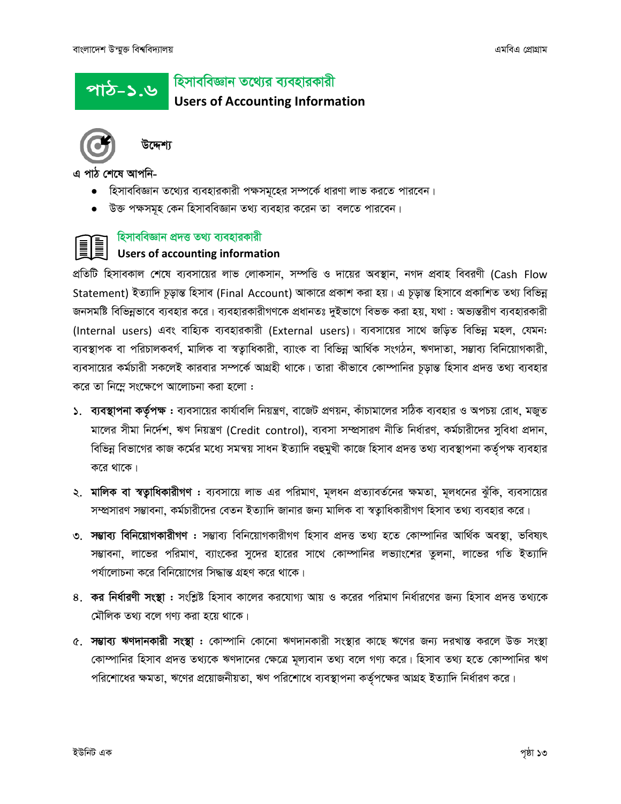## <u>পাঠ-১.৬ |</u>

হিসাববিজ্ঞান তথ্যের ব্যবহারকারী

**Users of Accounting Information** 



উদ্দেশ্য

এ পাঠ শেষে আপনি-

- হিসাববিজ্ঞান তথ্যের ব্যবহারকারী পক্ষসমূহের সম্পর্কে ধারণা লাভ করতে পারবেন।
- উক্ত পক্ষসমূহ কেন হিসাববিজ্ঞান তথ্য ব্যবহার করেন তা বলতে পারবেন।

#### হিসাববিজ্ঞান প্রদত্ত তথ্য ব্যবহারকারী

#### **Users of accounting information**

প্রতিটি হিসাবকাল শেষে ব্যবসায়ের লাভ লোকসান, সম্পত্তি ও দায়ের অবস্থান, নগদ প্রবাহ বিবরণী (Cash Flow Statement) ইত্যাদি চূড়ান্ত হিসাব (Final Account) আকারে প্রকাশ করা হয়। এ চূড়ান্ত হিসাবে প্রকাশিত তথ্য বিভিন্ন জনসমষ্টি বিভিন্নভাবে ব্যবহার করে। ব্যবহারকারীগণকে প্রধানতঃ দুইভাগে বিভক্ত করা হয়, যথা : অভ্যন্তরীণ ব্যবহারকারী (Internal users) এবং বাহ্যিক ব্যবহারকারী (External users)। ব্যবসায়ের সাথে জড়িত বিভিন্ন মহল, যেমন: ব্যবস্থাপক বা পরিচালকবর্গ, মালিক বা স্বতাধিকারী, ব্যাংক বা বিভিন্ন আর্থিক সংগঠন, ঋণদাতা, সম্ভাব্য বিনিয়োগকারী, ব্যবসায়ের কর্মচারী সকলেই কারবার সম্পর্কে আগ্রহী থাকে। তারা কীভাবে কোম্পানির চূড়ান্ত হিসাব প্রদত্ত তথ্য ব্যবহার করে তা নিম্লে সংক্ষেপে আলোচনা করা হলো :

- ১. ব্যবস্থাপনা কর্তৃপক্ষ : ব্যবসায়ের কার্যাবলি নিয়ন্ত্রণ, বাজেট প্রণয়ন, কাঁচামালের সঠিক ব্যবহার ও অপচয় রোধ, মজুত মালের সীমা নির্দেশ, ঋণ নিয়ন্ত্রণ (Credit control), ব্যবসা সম্প্রসারণ নীতি নির্ধারণ, কর্মচারীদের সুবিধা প্রদান, বিভিন্ন বিভাগের কাজ কর্মের মধ্যে সমন্বয় সাধন ইত্যাদি বহুমুখী কাজে হিসাব প্রদত্ত তথ্য ব্যবস্থাপনা কর্তৃপক্ষ ব্যবহার করে থাকে।
- ২. মালিক বা স্বত্বাধিকারীগণ : ব্যবসায়ে লাভ এর পরিমাণ, মূলধন প্রত্যাবর্তনের ক্ষমতা, মূলধনের ঝুঁকি, ব্যবসায়ের সম্প্রসারণ সম্ভাবনা, কর্মচারীদের বেতন ইত্যাদি জানার জন্য মালিক বা স্বত্যুধিকারীগণ হিসাব তথ্য ব্যবহার করে।
- ৩. সম্ভাব্য বিনিয়োগকারীগণ : সম্ভাব্য বিনিয়োগকারীগণ হিসাব প্রদত্ত তথ্য হতে কোম্পানির আর্থিক অবস্থা, ভবিষ্যৎ সম্ভাবনা, লাভের পরিমাণ, ব্যাংকের সুদের হারের সাথে কোম্পানির লভ্যাংশের তুলনা, লাভের গতি ইত্যাদি পর্যালোচনা করে বিনিয়োগের সিদ্ধান্ত গ্রহণ করে থাকে।
- ৪. কর নির্ধারণী সংস্থা : সংশ্লিষ্ট হিসাব কালের করযোগ্য আয় ও করের পরিমাণ নির্ধারণের জন্য হিসাব প্রদত্ত তথ্যকে মৌলিক তথ্য বলে গণ্য করা হয়ে থাকে।
- ৫. সম্ভাব্য ঋণদানকারী সংস্থা : কোম্পানি কোনো ঋণদানকারী সংস্থার কাছে ঋণের জন্য দরখাস্ত করলে উক্ত সংস্থা কোম্পানির হিসাব প্রদত্ত তথ্যকে ঋণদানের ক্ষেত্রে মূল্যবান তথ্য বলে গণ্য করে। হিসাব তথ্য হতে কোম্পানির ঋণ পরিশোধের ক্ষমতা, ঋণের প্রয়োজনীয়তা, ঋণ পরিশোধে ব্যবস্থাপনা কর্তৃপক্ষের আগ্রহ ইত্যাদি নির্ধারণ করে।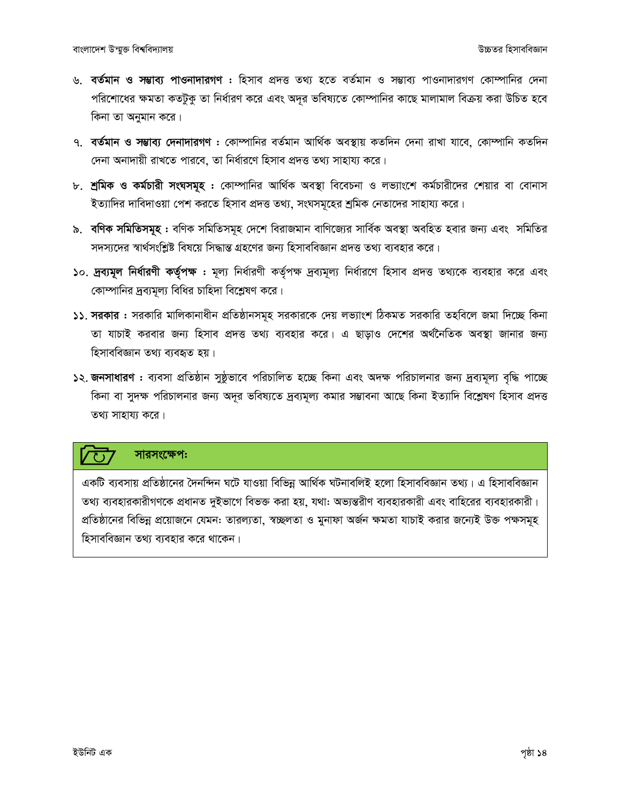- ৬. বৰ্তমান ও সম্ভাব্য পাওনাদারগণ : হিসাব প্রদত্ত তথ্য হতে বৰ্তমান ও সম্ভাব্য পাওনাদারগণ কোম্পানির দেনা পরিশোধের ক্ষমতা কতটুকু তা নির্ধারণ করে এবং অদূর ভবিষ্যতে কোম্পানির কাছে মালামাল বিক্রয় করা উচিত হবে কিনা তা অনুমান করে।
- ৭. বৰ্তমান ও সম্ভাব্য দেনাদারগণ : কোম্পানির বৰ্তমান আৰ্থিক অবস্থায় কতদিন দেনা রাখা যাবে, কোম্পানি কতদিন দেনা অনাদায়ী রাখতে পারবে, তা নির্ধারণে হিসাব প্রদত্ত তথ্য সাহায্য করে।
- ৮. শ্রমিক ও কর্মচারী সংঘসমূহ : কোম্পানির আর্থিক অবস্থা বিবেচনা ও লভ্যাংশে কর্মচারীদের শেয়ার বা বোনাস ইত্যাদির দাবিদাওয়া পেশ করতে হিসাব প্রদত্ত তথ্য, সংঘসমূহের শ্রমিক নেতাদের সাহায্য করে।
- ৯. ব**ণিক সমিতিসমূহ:** বণিক সমিতিসমূহ দেশে বিরাজমান বাণিজ্যের সার্বিক অবস্থা অবহিত হবার জন্য এবং সমিতির সদস্যদের স্বার্থসংশ্লিষ্ট বিষয়ে সিদ্ধান্ত গ্রহণের জন্য হিসাববিজ্ঞান প্রদত্ত তথ্য ব্যবহার করে।
- ১০. দ্রব্যমূল নির্ধারণী কর্তৃপক্ষ : মূল্য নির্ধারণী কর্তৃপক্ষ দ্রব্যমূল্য নির্ধারণে হিসাব প্রদত্ত তথ্যকে ব্যবহার করে এবং কোম্পানির দ্রব্যমূল্য বিধির চাহিদা বিশ্লেষণ করে।
- ১১. সরকার : সরকারি মালিকানাধীন প্রতিষ্ঠানসমূহ সরকারকে দেয় লভ্যাংশ ঠিকমত সরকারি তহবিলে জমা দিচ্ছে কিনা তা যাচাই করবার জন্য হিসাব প্রদত্ত তথ্য ব্যবহার করে। এ ছাড়াও দেশের অর্থনৈতিক অবস্থা জানার জন্য হিসাববিজ্ঞান তথ্য ব্যবহৃত হয়।
- ১২. জনসাধারণ : ব্যবসা প্রতিষ্ঠান সুষ্ঠূভাবে পরিচালিত হচ্ছে কিনা এবং অদক্ষ পরিচালনার জন্য দ্রব্যমূল্য বৃদ্ধি পাচ্ছে কিনা বা সুদক্ষ পরিচালনার জন্য অদূর ভবিষ্যতে দ্রব্যমূল্য কমার সম্ভাবনা আছে কিনা ইত্যাদি বিশ্লেষণ হিসাব প্রদত্ত তথ্য সাহায্য করে।

#### সারসংক্ষেপ:

একটি ব্যবসায় প্রতিষ্ঠানের দৈনন্দিন ঘটে যাওয়া বিভিন্ন আর্থিক ঘটনাবলিই হলো হিসাববিজ্ঞান তথ্য। এ হিসাববিজ্ঞান তথ্য ব্যবহারকারীগণকে প্রধানত দুইভাগে বিভক্ত করা হয়, যথা: অভ্যন্তরীণ ব্যবহারকারী এবং বাহিরের ব্যবহারকারী। প্রতিষ্ঠানের বিভিন্ন প্রয়োজনে যেমন: তারল্যতা, স্বচ্ছলতা ও মুনাফা অর্জন ক্ষমতা যাচাই করার জন্যেই উক্ত পক্ষসমূহ হিসাববিজ্ঞান তথ্য ব্যবহার করে থাকেন।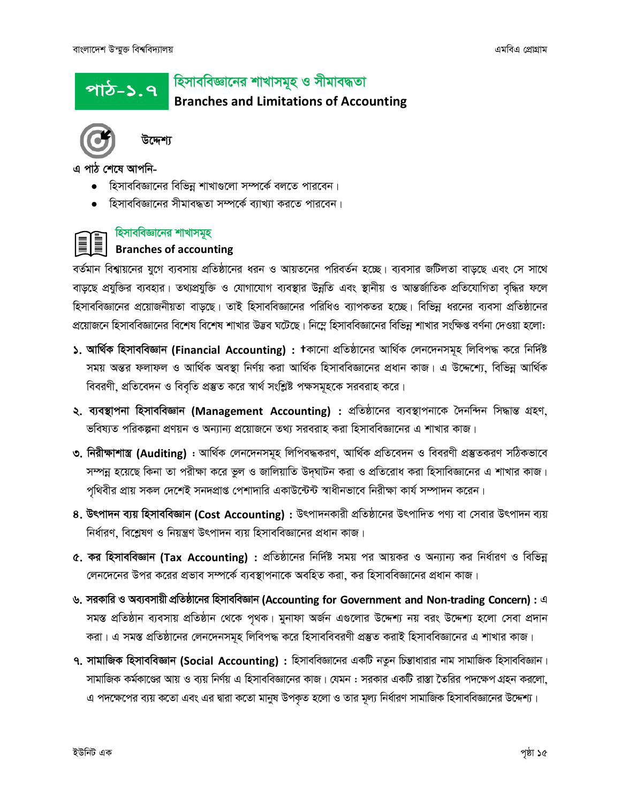#### হিসাববিজ্ঞানের শাখাসমূহ ও সীমাবদ্ধতা পাঠ–১.৭

**Branches and Limitations of Accounting** 



এ পাঠ শেষে আপনি-

- হিসাববিজ্ঞানের বিভিন্ন শাখাগুলো সম্পর্কে বলতে পারবেন।
- হিসাববিজ্ঞানের সীমাবদ্ধতা সম্পর্কে ব্যাখ্যা করতে পারবেন।



#### হিসাববিজ্ঞানের শাখাসমূহ

#### **Branches of accounting**

বর্তমান বিশ্বায়নের যুগে ব্যবসায় প্রতিষ্ঠানের ধরন ও আয়তনের পরিবর্তন হচ্ছে। ব্যবসার জটিলতা বাড়ছে এবং সে সাথে বাড়ছে প্রযুক্তির ব্যবহার। তথ্যপ্রযুক্তি ও যোগাযোগ ব্যবস্থার উন্নতি এবং স্থানীয় ও আন্তর্জাতিক প্রতিযোগিতা বৃদ্ধির ফলে হিসাববিজ্ঞানের প্রয়োজনীয়তা বাড়ছে। তাই হিসাববিজ্ঞানের পরিধিও ব্যাপকতর হচ্ছে। বিভিন্ন ধরনের ব্যবসা প্রতিষ্ঠানের প্রয়োজনে হিসাববিজ্ঞানের বিশেষ বিশেষ শাখার উদ্ভব ঘটেছে। নিম্নে হিসাববিজ্ঞানের বিভিন্ন শাখার সংক্ষিপ্ত বর্ণনা দেওয়া হলো:

- ১. আৰ্থিক হিসাববিজ্ঞান (Financial Accounting) : †কানো প্ৰতিষ্ঠানের আৰ্থিক লেনদেনসমূহ লিবিপদ্ধ করে নির্দিষ্ট সময় অন্তর ফলাফল ও আর্থিক অবস্থা নির্ণয় করা আর্থিক হিসাববিজ্ঞানের প্রধান কাজ। এ উদ্দেশ্যে, বিভিন্ন আর্থিক বিবরণী, প্রতিবেদন ও বিবৃতি প্রস্তুত করে স্বার্থ সংশ্লিষ্ট পক্ষসমূহকে সরবরাহ করে।
- ২. ব্যবস্থাপনা হিসাববিজ্ঞান (Management Accounting) : প্রতিষ্ঠানের ব্যবস্থাপনাকে দৈনন্দিন সিদ্ধান্ত গ্রহণ, ভবিষ্যত পরিকল্পনা প্রণয়ন ও অন্যান্য প্রয়োজনে তথ্য সরবরাহ করা হিসাববিজ্ঞানের এ শাখার কাজ।
- ৩. নিরীক্ষাশাস্ত্র (Auditing) : আর্থিক লেনদেনসমূহ লিপিবদ্ধকরণ, আর্থিক প্রতিবেদন ও বিবরণী প্রস্তুতকরণ সঠিকভাবে সম্পন্ন হয়েছে কিনা তা পরীক্ষা করে ভুল ও জালিয়াতি উদঘাটন করা ও প্রতিরোধ করা হিসাবিজ্ঞানের এ শাখার কাজ। পৃথিবীর প্রায় সকল দেশেই সনদপ্রাপ্ত পেশাদারি একাউন্টেন্ট স্বাধীনভাবে নিরীক্ষা কার্য সম্পাদন করেন।
- 8. উৎপাদন ব্যয় হিসাববিজ্ঞান (Cost Accounting) : উৎপাদনকারী প্রতিষ্ঠানের উৎপাদিত পণ্য বা সেবার উৎপাদন ব্যয় নির্ধারণ, বিশ্লেষণ ও নিয়ন্ত্রণ উৎপাদন ব্যয় হিসাববিজ্ঞানের প্রধান কাজ।
- $\alpha$ , কর হিসাববিজ্ঞান (Tax Accounting) : প্রতিষ্ঠানের নির্দিষ্ট সময় পর আয়কর ও অন্যান্য কর নির্ধারণ ও বিভিন্ন লেনদেনের উপর করের প্রভাব সম্পর্কে ব্যবস্থাপনাকে অবহিত করা, কর হিসাববিজ্ঞানের প্রধান কাজ।
- ৬. সরকারি ও অব্যবসায়ী প্রতিষ্ঠানের হিসাববিজ্ঞান (Accounting for Government and Non-trading Concern) : এ সমস্ত প্রতিষ্ঠান ব্যবসায় প্রতিষ্ঠান থেকে পৃথক। মুনাফা অর্জন এগুলোর উদ্দেশ্য নয় বরং উদ্দেশ্য হলো সেবা প্রদান করা। এ সমস্ত প্রতিষ্ঠানের লেনদেনসমূহ লিবিপদ্ধ করে হিসাববিবরণী প্রস্তুত করাই হিসাববিজ্ঞানের এ শাখার কাজ।
- ৭. সামাজিক হিসাববিজ্ঞান (Social Accounting) : হিসাববিজ্ঞানের একটি নতুন চিন্তাধারার নাম সামাজিক হিসাববিজ্ঞান। সামাজিক কর্মকাণ্ডের আয় ও ব্যয় নির্ণয় এ হিসাববিজ্ঞানের কাজ। যেমন : সরকার একটি রাস্তা তৈরির পদক্ষেপ গ্রহন করলো, এ পদক্ষেপের ব্যয় কতো এবং এর দ্বারা কতো মানুষ উপকৃত হলো ও তার মূল্য নির্ধারণ সামাজিক হিসাববিজ্ঞানের উদ্দেশ্য।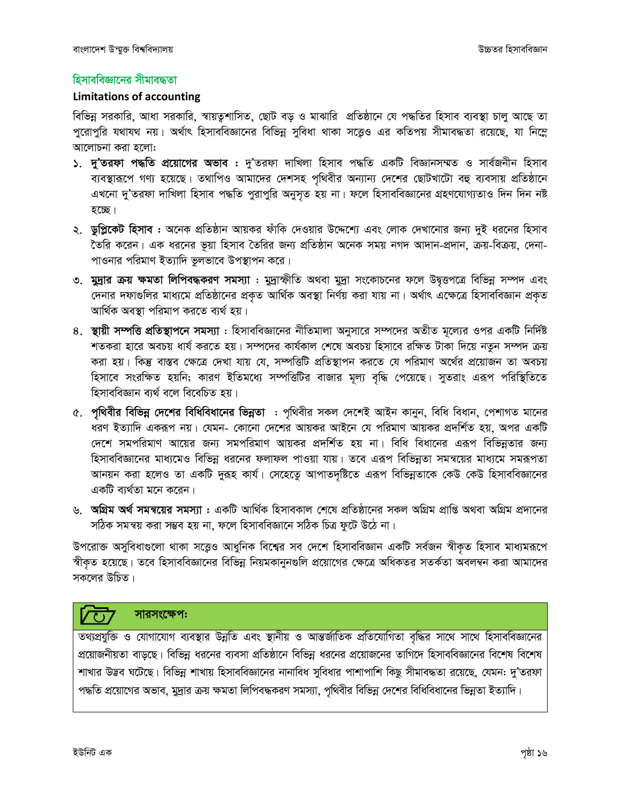#### হিসাববিজ্ঞানের সীমাবদ্ধতা

#### **Limitations of accounting**

বিভিন্ন সরকারি, আধা সরকারি, স্বায়তুশাসিত, ছোট বড় ও মাঝারি প্রতিষ্ঠানে যে পদ্ধতির হিসাব ব্যবস্থা চালু আছে তা পুরোপুরি যথাযথ নয়। অর্থাৎ হিসাববিজ্ঞানের বিভিন্ন সুবিধা থাকা সত্তেও এর কতিপয় সীমাবদ্ধতা রয়েছে, যা নিম্নে আলোচনা করা হলো:

- ১. দু'তরফা পদ্ধতি প্রয়োগের অভাব : দু'তরফা দাখিলা হিসাব পদ্ধতি একটি বিজ্ঞানসম্মত ও সার্বজনীন হিসাব ব্যবস্থারূপে গণ্য হয়েছে। তথাপিও আমাদের দেশসহ পৃথিবীর অন্যান্য দেশের ছোটখাটো বহু ব্যবসায় প্রতিষ্ঠানে এখনো দু'তরফা দাখিলা হিসাব পদ্ধতি পুরাপুরি অনুসৃত হয় না। ফলে হিসাববিজ্ঞানের গ্রহণযোগ্যতাও দিন দিন নষ্ট হচ্ছে।
- ২. ডুপ্লিকেট হিসাব : অনেক প্রতিষ্ঠান আয়কর ফাঁকি দেওয়ার উদ্দেশ্যে এবং লোক দেখানোর জন্য দুই ধরনের হিসাব তৈরি করেন। এক ধরনের ভূয়া হিসাব তৈরির জন্য প্রতিষ্ঠান অনেক সময় নগদ আদান-প্রদান, ক্রয়-বিক্রয়, দেনা-পাওনার পরিমাণ ইত্যাদি ভুলভাবে উপস্থাপন করে।
- ৩. মুদ্রার ক্রয় ক্ষমতা লিপিবদ্ধকরণ সমস্যা : মুদ্রাস্ফীতি অথবা মুদ্রা সংকোচনের ফলে উদ্বত্তপত্রে বিভিন্ন সম্পদ এবং দেনার দফাগুলির মাধ্যমে প্রতিষ্ঠানের প্রকৃত আর্থিক অবস্থা নির্ণয় করা যায় না। অর্থাৎ এক্ষেত্রে হিসাববিজ্ঞান প্রকৃত আৰ্থিক অবস্থা পরিমাপ করতে ব্যর্থ হয়।
- ৪. স্থায়ী সম্পত্তি প্রতিস্থাপনে সমস্যা : হিসাববিজ্ঞানের নীতিমালা অনুসারে সম্পদের অতীত মল্যের ওপর একটি নির্দিষ্ট শতকরা হারে অবচয় ধার্য করতে হয়। সম্পদের কার্যকাল শেষে অবচয় হিসাবে রক্ষিত টাকা দিয়ে নতুন সম্পদ ক্রয় করা হয়। কিন্তু বাস্তব ক্ষেত্রে দেখা যায় যে, সম্পত্তিটি প্রতিস্থাপন করতে যে পরিমাণ অর্থের প্রয়োজন তা অবচয় হিসাবে সংরক্ষিত হয়নি; কারণ ইতিমধ্যে সম্পত্তিটির বাজার মূল্য বৃদ্ধি পেয়েছে। সুতরাং এরূপ পরিস্থিতিতে হিসাববিজ্ঞান ব্যর্থ বলে বিবেচিত হয়।
- ৫. পৃথিবীর বিভিন্ন দেশের বিধিবিধানের ভিন্নতা : পৃথিবীর সকল দেশেই আইন কানুন, বিধি বিধান, পেশাগত মানের ধরণ ইত্যাদি একরূপ নয়। যেমন- কোনো দেশের আয়কর আইনে যে পরিমাণ আয়কর প্রদর্শিত হয়, অপর একটি দেশে সমপরিমাণ আয়ের জন্য সমপরিমাণ আয়কর প্রদর্শিত হয় না। বিধি বিধানের এরূপ বিভিন্নতার জন্য হিসাববিজ্ঞানের মাধ্যমেও বিভিন্ন ধরনের ফলাফল পাওয়া যায়। তবে এরূপ বিভিন্নতা সমন্বয়ের মাধ্যমে সমরূপতা আনয়ন করা হলেও তা একটি দুরূহ কার্য। সেহেতেু আপাতদৃষ্টিতে এরূপ বিভিন্নতাকে কেউ কেউ হিসাববিজ্ঞানের একটি ব্যর্থতা মনে করেন।
- ৬. **অগ্রিম অর্থ সমন্বয়ের সমস্যা :** একটি আর্থিক হিসাবকাল শেষে প্রতিষ্ঠানের সকল অগ্রিম প্রাপ্তি অথবা অগ্রিম প্রদানের সঠিক সমন্বয় করা সম্ভব হয় না, ফলে হিসাববিজ্ঞানে সঠিক চিত্র ফুটে উঠে না।

উপরোক্ত অসুবিধাগুলো থাকা সত্ত্বেও আধুনিক বিশ্বের সব দেশে হিসাববিজ্ঞান একটি সর্বজন স্বীকৃত হিসাব মাধ্যমরূপে স্বীকৃত হয়েছে। তবে হিসাববিজ্ঞানের বিভিন্ন নিয়মকানুনগুলি প্রয়োগের ক্ষেত্রে অধিকতর সতর্কতা অবলম্বন করা আমাদের সকলের উচিত।

#### সারসংক্ষেপ:  $\sqrt{3}$

তথ্যপ্রযুক্তি ও যোগাযোগ ব্যবস্থার উন্নতি এবং স্থানীয় ও আন্তর্জাতিক প্রতিযোগিতা বৃদ্ধির সাথে সাথে হিসাববিজ্ঞানের প্রয়োজনীয়তা বাড়ছে। বিভিন্ন ধরনের ব্যবসা প্রতিষ্ঠানে বিভিন্ন ধরনের প্রয়োজনের তাগিদে হিসাববিজ্ঞানের বিশেষ বিশেষ শাখার উদ্ভব ঘটেছে। বিভিন্ন শাখায় হিসাববিজ্ঞানের নানাবিধ সুবিধার পাশাপাশি কিছু সীমাবদ্ধতা রয়েছে, যেমন: দু'তরফা পদ্ধতি প্রয়োগের অভাব, মুদ্রার ক্রয় ক্ষমতা লিপিবদ্ধকরণ সমস্যা, পৃথিবীর বিভিন্ন দেশের বিধিবিধানের ভিন্নতা ইত্যাদি।